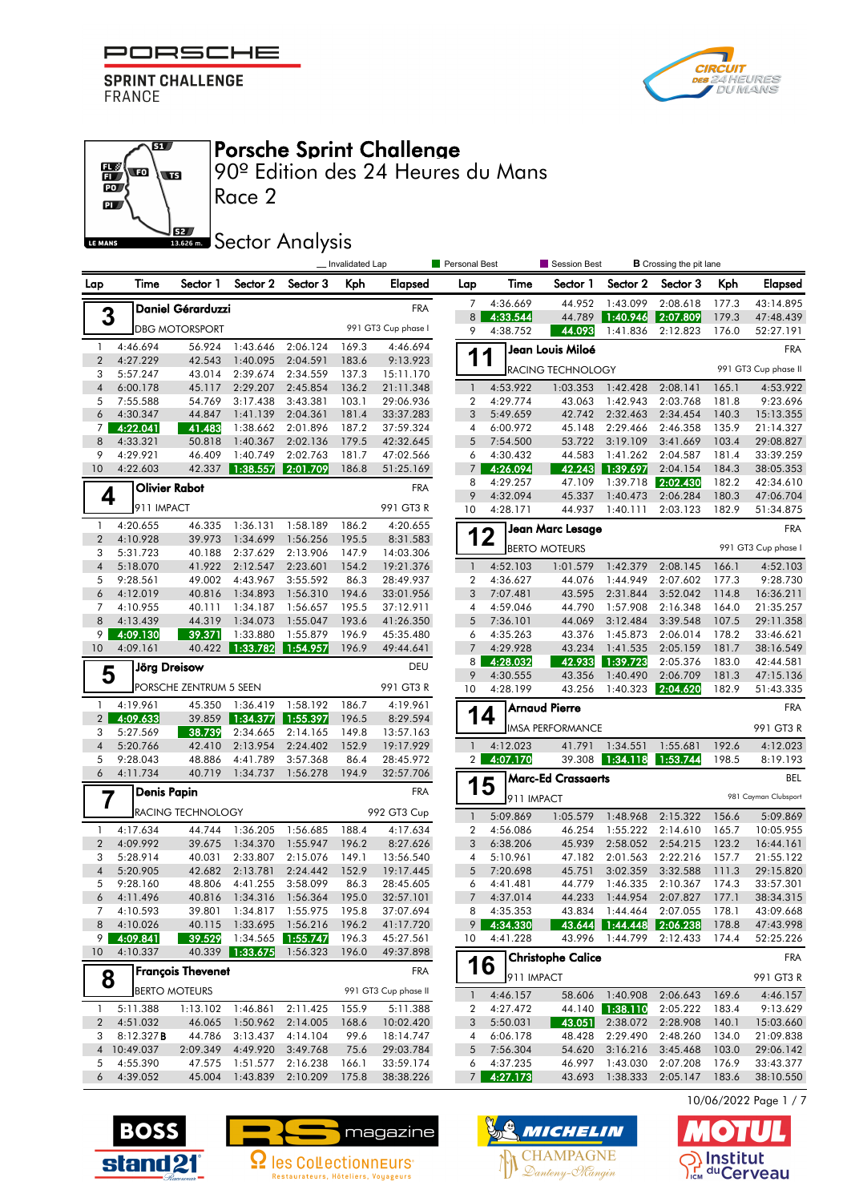

 $\overline{\mathbf{a}}$ 

 $\overline{\mathbf{w}}$ 



#### Porsche Sprint Challenge

90º Edition des 24 Heures du Mans

 $\overline{P}$ 62 LE MANS

 $\frac{1}{10}$ 

### **SECOLOGY** Analysis

|                                |                      | <b>Personal Best</b><br>Session Best<br>Invalidated Lap<br><b>B</b> Crossing the pit lane |                      |                                 |                |                        |                                  |                      |                           |                             |                      |                |                        |
|--------------------------------|----------------------|-------------------------------------------------------------------------------------------|----------------------|---------------------------------|----------------|------------------------|----------------------------------|----------------------|---------------------------|-----------------------------|----------------------|----------------|------------------------|
| Lap                            | Time                 | Sector 1                                                                                  | Sector 2             | Sector 3                        | Kph            | Elapsed                | Lap                              | Time                 | Sector 1                  | Sector 2                    | Sector 3             | Kph            | <b>Elapsed</b>         |
|                                |                      | <b>Daniel Gérarduzzi</b>                                                                  |                      |                                 |                | <b>FRA</b>             | 7                                | 4:36.669             | 44.952                    | 1:43.099                    | 2:08.618             | 177.3          | 43:14.895              |
| 3                              |                      |                                                                                           |                      |                                 |                | 991 GT3 Cup phase I    | 8                                | 4:33.544             | 44.789                    | 1:40.946                    | 2:07.809             | 179.3          | 47:48.439              |
|                                |                      | <b>DBG MOTORSPORT</b>                                                                     |                      |                                 |                |                        | 9                                | 4:38.752             | 44.093                    | 1:41.836                    | 2:12.823             | 176.0          | 52:27.191              |
| $\mathbf{1}$<br>$\overline{2}$ | 4:46.694<br>4:27.229 | 56.924<br>42.543                                                                          | 1:43.646<br>1:40.095 | 2:06.124<br>2:04.591            | 169.3<br>183.6 | 4:46.694<br>9:13.923   | 1                                | -4                   | Jean Louis Miloé          |                             |                      |                | <b>FRA</b>             |
| 3                              | 5:57.247             | 43.014                                                                                    | 2:39.674             | 2:34.559                        | 137.3          | 15:11.170              |                                  |                      | RACING TECHNOLOGY         |                             |                      |                | 991 GT3 Cup phase II   |
| $\overline{4}$                 | 6:00.178             | 45.117                                                                                    | 2:29.207             | 2:45.854                        | 136.2          | 21:11.348              | $\mathbf{1}$                     | 4:53.922             | 1:03.353                  | 1:42.428                    | 2:08.141             | 165.1          | 4:53.922               |
| 5                              | 7:55.588             | 54.769                                                                                    | 3:17.438             | 3:43.381                        | 103.1          | 29:06.936              | $\boldsymbol{2}$                 | 4:29.774             | 43.063                    | 1:42.943                    | 2:03.768             | 181.8          | 9:23.696               |
| 6                              | 4:30.347             | 44.847                                                                                    | 1:41.139             | 2:04.361                        | 181.4          | 33:37.283              | 3                                | 5:49.659             | 42.742                    | 2:32.463                    | 2:34.454             | 140.3          | 15:13.355              |
| $\overline{7}$<br>8            | 4:22.041<br>4:33.321 | 41.483<br>50.818                                                                          | 1:38.662<br>1:40.367 | 2:01.896<br>2:02.136            | 187.2<br>179.5 | 37:59.324<br>42:32.645 | 4<br>5                           | 6:00.972<br>7:54.500 | 45.148<br>53.722          | 2:29.466<br>3:19.109        | 2:46.358<br>3:41.669 | 135.9<br>103.4 | 21:14.327<br>29:08.827 |
| 9                              | 4:29.921             | 46.409                                                                                    | 1:40.749             | 2:02.763                        | 181.7          | 47:02.566              | 6                                | 4:30.432             | 44.583                    | 1:41.262                    | 2:04.587             | 181.4          | 33:39.259              |
| 10                             | 4:22.603             | 42.337                                                                                    | 1:38.557             | 2:01.709                        | 186.8          | 51:25.169              | 7 <sup>1</sup>                   | 4:26.094             | 42.243                    | 1:39.697                    | 2:04.154             | 184.3          | 38:05.353              |
|                                |                      | <b>Olivier Rabot</b>                                                                      |                      |                                 |                | <b>FRA</b>             | 8                                | 4:29.257             | 47.109                    | 1:39.718                    | 2:02.430             | 182.2          | 42:34.610              |
| 4                              |                      |                                                                                           |                      |                                 |                |                        | 9                                | 4:32.094             | 45.337                    | 1:40.473                    | 2:06.284             | 180.3          | 47:06.704              |
|                                | 911 IMPACT           |                                                                                           |                      |                                 |                | 991 GT3 R              | 10                               | 4:28.171             | 44.937                    | 1:40.111                    | 2:03.123             | 182.9          | 51:34.875              |
| $\mathbf{1}$<br>$\overline{2}$ | 4:20.655             | 46.335<br>39.973                                                                          | 1:36.131             | 1:58.189<br>1:56.256            | 186.2          | 4:20.655               | 12                               |                      | Jean Marc Lesage          |                             |                      |                | <b>FRA</b>             |
| 3                              | 4:10.928<br>5:31.723 | 40.188                                                                                    | 1:34.699<br>2:37.629 | 2:13.906                        | 195.5<br>147.9 | 8:31.583<br>14:03.306  |                                  |                      | <b>BERTO MOTEURS</b>      |                             |                      |                | 991 GT3 Cup phase I    |
| $\overline{4}$                 | 5:18.070             | 41.922                                                                                    | 2:12.547             | 2:23.601                        | 154.2          | 19:21.376              | $\overline{1}$                   | 4:52.103             | 1:01.579                  | 1:42.379                    | 2:08.145             | 166.1          | 4:52.103               |
| 5                              | 9:28.561             | 49.002                                                                                    | 4:43.967             | 3:55.592                        | 86.3           | 28:49.937              | $\boldsymbol{2}$                 | 4:36.627             | 44.076                    | 1:44.949                    | 2:07.602             | 177.3          | 9:28.730               |
| 6                              | 4:12.019             | 40.816                                                                                    | 1:34.893             | 1:56.310                        | 194.6          | 33:01.956              | 3                                | 7:07.481             | 43.595                    | 2:31.844                    | 3:52.042             | 114.8          | 16:36.211              |
| 7                              | 4:10.955             | 40.111                                                                                    | 1:34.187             | 1:56.657                        | 195.5          | 37:12.911              | 4                                | 4:59.046             | 44.790                    | 1:57.908                    | 2:16.348             | 164.0          | 21:35.257              |
| 8                              | 4:13.439             | 44.319                                                                                    | 1:34.073             | 1:55.047                        | 193.6          | 41:26.350              | 5                                | 7:36.101             | 44.069                    | 3:12.484                    | 3:39.548             | 107.5          | 29:11.358              |
| 9<br>10                        | 4:09.130             | 39.371                                                                                    | 1:33.880             | 1:55.879                        | 196.9          | 45:35.480              | 6                                | 4:35.263<br>4:29.928 | 43.376                    | 1:45.873                    | 2:06.014             | 178.2<br>181.7 | 33:46.621              |
|                                | 4:09.161             | 40.422                                                                                    | 1:33.782             | 1:54.957                        | 196.9          | 49:44.641              | 7<br>8 <sup>1</sup>              | 4:28.032             | 43.234<br>42.933          | 1:41.535<br>1:39.723        | 2:05.159<br>2:05.376 | 183.0          | 38:16.549<br>42:44.581 |
| 5                              |                      | <b>Jörg Dreisow</b>                                                                       |                      |                                 |                | DEU                    | 9                                | 4:30.555             | 43.356                    | 1:40.490                    | 2:06.709             | 181.3          | 47:15.136              |
|                                |                      | PORSCHE ZENTRUM 5 SEEN                                                                    |                      |                                 |                | 991 GT3 R              | 10                               | 4:28.199             | 43.256                    | 1:40.323                    | 2:04.620             | 182.9          | 51:43.335              |
| $\mathbf{1}$                   | 4:19.961             | 45.350                                                                                    | 1:36.419             | 1:58.192                        | 186.7          | 4:19.961               |                                  |                      | <b>Arnaud Pierre</b>      |                             |                      |                | <b>FRA</b>             |
| $\overline{2}$                 | 4:09.633             | 39.859                                                                                    | 1:34.377             | 1:55.397                        | 196.5          | 8:29.594               | 14                               |                      | <b>IMSA PERFORMANCE</b>   |                             |                      |                | 991 GT3 R              |
| 3<br>$\overline{4}$            | 5:27.569<br>5:20.766 | 38.739<br>42.410                                                                          | 2:34.665<br>2:13.954 | 2:14.165<br>2:24.402            | 149.8<br>152.9 | 13:57.163<br>19:17.929 | $\mathbf{1}$                     | 4:12.023             | 41.791                    | 1:34.551                    | 1:55.681             | 192.6          | 4:12.023               |
| 5                              | 9:28.043             | 48.886                                                                                    | 4:41.789             | 3:57.368                        | 86.4           | 28:45.972              | 2 <sub>1</sub>                   | 4:07.170             | 39.308                    | 1:34.118                    | 1:53.744             | 198.5          | 8:19.193               |
| 6                              | 4:11.734             | 40.719                                                                                    | 1:34.737             | 1:56.278                        | 194.9          | 32:57.706              |                                  |                      | <b>Marc-Ed Crassaerts</b> |                             |                      |                | BEL                    |
|                                | <b>Denis Papin</b>   |                                                                                           |                      |                                 |                | <b>FRA</b>             | 1                                | 5                    |                           |                             |                      |                | 981 Cayman Clubsport   |
| 7                              |                      | <b>RACING TECHNOLOGY</b>                                                                  |                      |                                 |                | 992 GT3 Cup            |                                  | 911 IMPACT           |                           |                             |                      |                |                        |
| $\mathbf{1}$                   | 4:17.634             | 44.744                                                                                    | 1:36.205             | 1:56.685                        | 188.4          | 4:17.634               | $\mathbf{1}$<br>$\boldsymbol{2}$ | 5:09.869<br>4:56.086 | 1:05.579<br>46.254        | 1:48.968<br>1:55.222        | 2:15.322<br>2:14.610 | 156.6<br>165.7 | 5:09.869<br>10:05.955  |
| $\overline{2}$                 | 4:09.992             | 39.675                                                                                    | 1:34.370             | 1:55.947                        | 196.2          | 8:27.626               | 3                                | 6:38.206             | 45.939                    | 2:58.052                    | 2:54.215             | 123.2          | 16:44.161              |
| 3                              | 5:28.914             | 40.031                                                                                    | 2:33.807             | 2:15.076                        | 149.1          | 13:56.540              | 4                                | 5:10.961             | 47.182                    | 2:01.563                    | 2:22.216             | 157.7          | 21:55.122              |
| $\overline{4}$                 | 5:20.905             | 42.682                                                                                    | 2:13.781             | 2:24.442                        | 152.9          | 19:17.445              | 5                                | 7:20.698             | 45.751                    | 3:02.359                    | 3:32.588             | 111.3          | 29:15.820              |
| 5                              | 9:28.160             | 48.806                                                                                    | 4:41.255             | 3:58.099                        | 86.3           | 28:45.605              | 6                                | 4:41.481             | 44.779                    | 1:46.335                    | 2:10.367             | 174.3          | 33:57.301              |
| 6                              | 4:11.496             | 40.816                                                                                    |                      | 1:34.316 1:56.364               | 195.0          | 32:57.101              |                                  | 4:37.014             | 44.233                    | 1:44.954                    | 2:07.827             | 177.1          | 38:34.315              |
| 7                              | 4:10.593             | 39.801                                                                                    |                      | 1:34.817 1:55.975               | 195.8          | 37:07.694              | 8                                | 4:35.353             |                           | 43.834 1:44.464             | 2:07.055             | 178.1          | 43:09.668              |
| 8<br>9                         | 4:10.026<br>4:09.841 | 40.115<br>39.529                                                                          | 1:33.695             | 1:56.216<br>1:34.565   1:55.747 | 196.2<br>196.3 | 41:17.720<br>45:27.561 | 9<br>10                          | 4:34.330<br>4:41.228 | 43.996                    | 43.644 1:44.448<br>1:44.799 | 2:06.238<br>2:12.433 | 178.8<br>174.4 | 47:43.998<br>52:25.226 |
| 10                             | 4:10.337             | 40.339                                                                                    | 1:33.675             | 1:56.323                        | 196.0          | 49:37.898              |                                  |                      |                           |                             |                      |                |                        |
|                                |                      | <b>François Thevenet</b>                                                                  |                      |                                 |                | <b>FRA</b>             | 16                               |                      | <b>Christophe Calice</b>  |                             |                      |                | FRA                    |
| 8                              |                      |                                                                                           |                      |                                 |                | 991 GT3 Cup phase II   |                                  | 911 IMPACT           |                           |                             |                      |                | 991 GT3 R              |
|                                |                      | <b>BERTO MOTEURS</b>                                                                      |                      |                                 |                |                        | $\mathbf{1}$                     | 4:46.157             | 58.606                    | 1:40.908                    | 2:06.643             | 169.6          | 4:46.157               |
| -1<br>$\boldsymbol{2}$         | 5:11.388<br>4:51.032 | 1:13.102<br>46.065                                                                        | 1:46.861             | 2:11.425<br>1:50.962 2:14.005   | 155.9<br>168.6 | 5:11.388               | 2<br>3                           | 4:27.472<br>5:50.031 | 43.051                    | 44.140 1:38.110             | 2:05.222<br>2:28.908 | 183.4<br>140.1 | 9:13.629<br>15:03.660  |
| 3                              | 8:12.327B            | 44.786                                                                                    |                      | 3:13.437 4:14.104               | 99.6           | 10:02.420<br>18:14.747 | 4                                | 6:06.178             | 48.428                    | 2:38.072<br>2:29.490        | 2:48.260             | 134.0          | 21:09.838              |
| $\overline{4}$                 | 10:49.037            | 2:09.349                                                                                  | 4:49.920             | 3:49.768                        | 75.6           | 29:03.784              | 5                                | 7:56.304             | 54.620                    | 3:16.216                    | 3:45.468             | 103.0          | 29:06.142              |
| 5                              | 4:55.390             | 47.575                                                                                    | 1:51.577             | 2:16.238                        | 166.1          | 33:59.174              | 6                                | 4:37.235             | 46.997                    | 1:43.030                    | 2:07.208             | 176.9          | 33:43.377              |
| 6                              | 4:39.052             | 45.004                                                                                    | 1:43.839             | 2:10.209                        | 175.8          | 38:38.226              |                                  | 7 4:27.173           | 43.693                    | 1:38.333                    | 2:05.147             | 183.6          | 38:10.550              |
|                                |                      |                                                                                           |                      |                                 |                |                        |                                  |                      |                           |                             |                      |                | 10/06/2022 Page 1 / 7  |







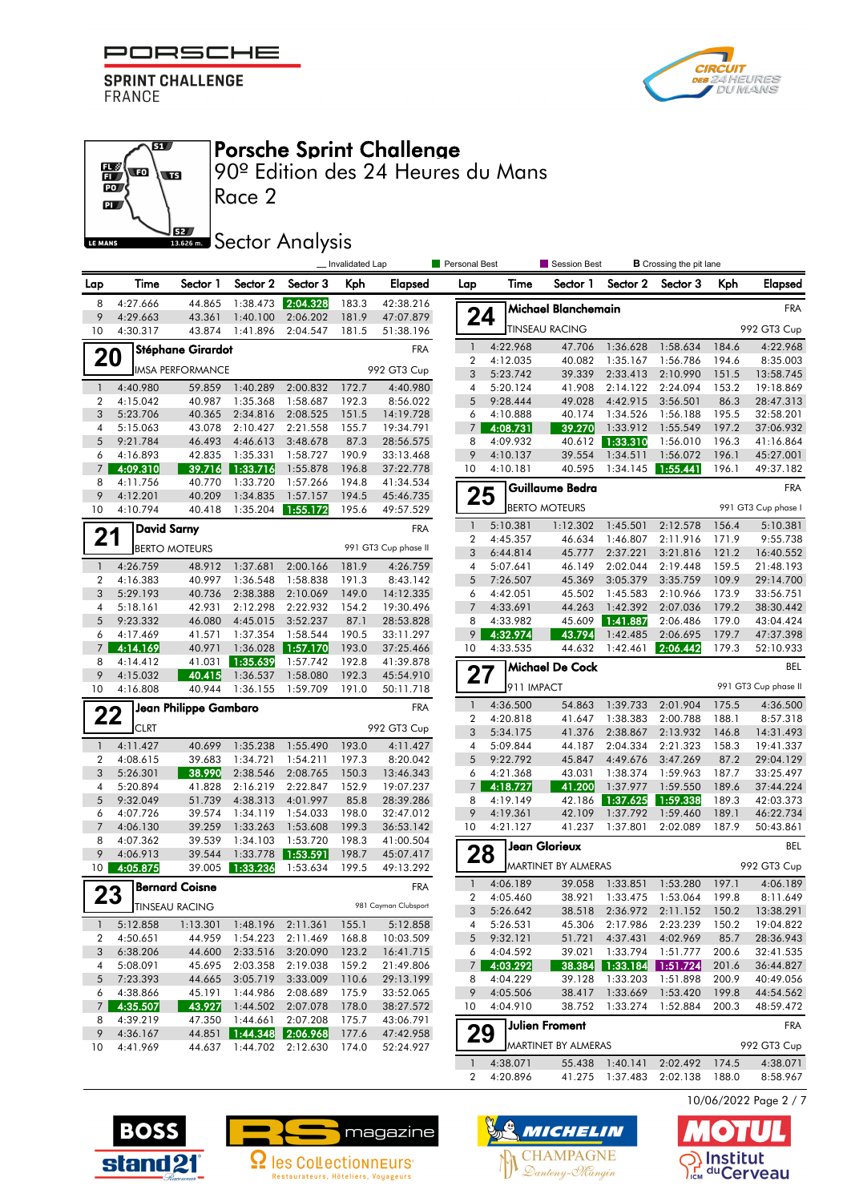

67

 $\overline{\mathbf{w}}$ 



#### Porsche Sprint Challenge

90º Edition des 24 Heures du Mans

 $\overline{\mathbf{p}}$ **SZ** LE MANS

 $\frac{1}{10}$ 

# **SECONDER Analysis**

|                     |                      |                          |                      |                      | _Invalidated Lap |                        | <b>Personal Best</b>           |                      | Session Best           |                      | <b>B</b> Crossing the pit lane |                |                        |
|---------------------|----------------------|--------------------------|----------------------|----------------------|------------------|------------------------|--------------------------------|----------------------|------------------------|----------------------|--------------------------------|----------------|------------------------|
| Lap                 | Time                 | Sector 1                 | Sector 2             | Sector 3             | Kph              | Elapsed                | Lap                            | Time                 | Sector 1               | Sector 2             | Sector 3                       | Kph            | Elapsed                |
| 8                   | 4:27.666             | 44.865                   | 1:38.473             | 2:04.328             | 183.3            | 42:38.216              |                                |                      | Michael Blanchemain    |                      |                                |                | <b>FRA</b>             |
| 9<br>10             | 4:29.663<br>4:30.317 | 43.361<br>43.874         | 1:40.100<br>1:41.896 | 2:06.202<br>2:04.547 | 181.9<br>181.5   | 47:07.879<br>51:38.196 | 24                             |                      | <b>TINSEAU RACING</b>  |                      |                                |                | 992 GT3 Cup            |
|                     |                      | <b>Stéphane Girardot</b> |                      |                      |                  | <b>FRA</b>             | $\mathbf{1}$                   | 4:22.968             | 47.706                 | 1:36.628             | 1:58.634                       | 184.6          | 4:22.968               |
| 20                  |                      |                          |                      |                      |                  |                        | 2                              | 4:12.035             | 40.082                 | 1:35.167             | 1:56.786                       | 194.6          | 8:35.003               |
|                     |                      | <b>IMSA PERFORMANCE</b>  |                      |                      |                  | 992 GT3 Cup            | 3                              | 5:23.742             | 39.339                 | 2:33.413             | 2:10.990                       | 151.5          | 13:58.745              |
| $\mathbf{1}$        | 4:40.980             | 59.859                   | 1:40.289             | 2:00.832             | 172.7            | 4:40.980               | 4                              | 5:20.124             | 41.908                 | 2:14.122             | 2:24.094                       | 153.2          | 19:18.869              |
| $\overline{2}$      | 4:15.042             | 40.987                   | 1:35.368             | 1:58.687             | 192.3            | 8:56.022               | 5                              | 9:28.444             | 49.028                 | 4:42.915             | 3:56.501                       | 86.3           | 28:47.313              |
| 3                   | 5:23.706             | 40.365                   | 2:34.816             | 2:08.525             | 151.5            | 14:19.728              | 6<br>$7^{\circ}$               | 4:10.888             | 40.174<br>39.270       | 1:34.526             | 1:56.188                       | 195.5          | 32:58.201              |
| 4<br>5              | 5:15.063<br>9:21.784 | 43.078<br>46.493         | 2:10.427<br>4:46.613 | 2:21.558<br>3:48.678 | 155.7<br>87.3    | 19:34.791<br>28:56.575 | 8                              | 4:08.731<br>4:09.932 | 40.612                 | 1:33.912<br>1:33.310 | 1:55.549<br>1:56.010           | 197.2<br>196.3 | 37:06.932<br>41:16.864 |
| 6                   | 4:16.893             | 42.835                   | 1:35.331             | 1:58.727             | 190.9            | 33:13.468              | 9                              | 4:10.137             | 39.554                 | 1:34.511             | 1:56.072                       | 196.1          | 45:27.001              |
| 7                   | 4:09.310             | -39.716                  | 1:33.716             | 1:55.878             | 196.8            | 37:22.778              | 10                             | 4:10.181             | 40.595                 | 1:34.145             | 1:55.441                       | 196.1          | 49:37.182              |
| 8                   | 4:11.756             | 40.770                   | 1:33.720             | 1:57.266             | 194.8            | 41:34.534              |                                |                      | Guillaume Bedra        |                      |                                |                | <b>FRA</b>             |
| 9                   | 4:12.201             | 40.209                   | 1:34.835             | 1:57.157             | 194.5            | 45:46.735              | 25                             |                      |                        |                      |                                |                |                        |
| 10                  | 4:10.794             | 40.418                   | 1:35.204             | 1:55.172             | 195.6            | 49:57.529              |                                |                      | <b>BERTO MOTEURS</b>   |                      |                                |                | 991 GT3 Cup phase I    |
|                     | <b>David Sarny</b>   |                          |                      |                      |                  | <b>FRA</b>             | $\mathbf{1}$                   | 5:10.381             | 1:12.302               | 1:45.501             | 2:12.578                       | 156.4          | 5:10.381               |
| 21                  |                      | <b>BERTO MOTEURS</b>     |                      |                      |                  | 991 GT3 Cup phase II   | 2                              | 4:45.357             | 46.634                 | 1:46.807             | 2:11.916                       | 171.9          | 9:55.738               |
|                     |                      |                          |                      |                      |                  |                        | 3                              | 6:44.814             | 45.777                 | 2:37.221             | 3:21.816                       | 121.2          | 16:40.552              |
| $\mathbf{1}$        | 4:26.759             | 48.912                   | 1:37.681             | 2:00.166             | 181.9            | 4:26.759               | 4                              | 5:07.641             | 46.149                 | 2:02.044             | 2:19.448                       | 159.5          | 21:48.193              |
| $\overline{2}$<br>3 | 4:16.383<br>5:29.193 | 40.997<br>40.736         | 1:36.548<br>2:38.388 | 1:58.838<br>2:10.069 | 191.3<br>149.0   | 8:43.142<br>14:12.335  | 5<br>6                         | 7:26.507<br>4:42.051 | 45.369<br>45.502       | 3:05.379<br>1:45.583 | 3:35.759<br>2:10.966           | 109.9<br>173.9 | 29:14.700<br>33:56.751 |
| 4                   | 5:18.161             | 42.931                   | 2:12.298             | 2:22.932             | 154.2            | 19:30.496              | $\overline{7}$                 | 4:33.691             | 44.263                 | 1:42.392             | 2:07.036                       | 179.2          | 38:30.442              |
| 5                   | 9:23.332             | 46.080                   | 4:45.015             | 3:52.237             | 87.1             | 28:53.828              | 8                              | 4:33.982             | 45.609                 | 1:41.887             | 2:06.486                       | 179.0          | 43:04.424              |
| 6                   | 4:17.469             | 41.571                   | 1:37.354             | 1:58.544             | 190.5            | 33:11.297              | 9                              | 4:32.974             | 43.794                 | 1:42.485             | 2:06.695                       | 179.7          | 47:37.398              |
| $\overline{7}$      | 4:14.169             | 40.971                   | 1:36.028             | 1:57.170             | 193.0            | 37:25.466              | 10                             | 4:33.535             | 44.632                 | 1:42.461             | 2:06.442                       | 179.3          | 52:10.933              |
| 8                   | 4:14.412             | 41.031                   | 1:35.639             | 1:57.742             | 192.8            | 41:39.878              |                                |                      | <b>Michael De Cock</b> |                      |                                |                | BEL                    |
| 9                   | 4:15.032             | 40.415                   | 1:36.537             | 1:58.080             | 192.3            | 45:54.910              | 27                             |                      |                        |                      |                                |                |                        |
| 10                  | 4:16.808             | 40.944                   | 1:36.155             | 1:59.709             | 191.0            | 50:11.718              |                                | 911 IMPACT           |                        |                      |                                |                | 991 GT3 Cup phase II   |
| 22                  |                      | Jean Philippe Gambaro    |                      |                      |                  | <b>FRA</b>             | $\mathbf{1}$<br>$\overline{2}$ | 4:36.500<br>4:20.818 | 54.863<br>41.647       | 1:39.733<br>1:38.383 | 2:01.904<br>2:00.788           | 175.5<br>188.1 | 4:36.500<br>8:57.318   |
|                     | <b>CLRT</b>          |                          |                      |                      |                  | 992 GT3 Cup            | 3                              | 5:34.175             | 41.376                 | 2:38.867             | 2:13.932                       | 146.8          | 14:31.493              |
| $\mathbf{1}$        | 4:11.427             | 40.699                   | 1:35.238             | 1:55.490             | 193.0            | 4:11.427               | 4                              | 5:09.844             | 44.187                 | 2:04.334             | 2:21.323                       | 158.3          | 19:41.337              |
| 2                   | 4:08.615             | 39.683                   | 1:34.721             | 1:54.211             | 197.3            | 8:20.042               | 5                              | 9:22.792             | 45.847                 | 4:49.676             | 3:47.269                       | 87.2           | 29:04.129              |
| 3                   | 5:26.301             | 38.990                   | 2:38.546             | 2:08.765             | 150.3            | 13:46.343              | 6                              | 4:21.368             | 43.031                 | 1:38.374             | 1:59.963                       | 187.7          | 33:25.497              |
| 4                   | 5:20.894             | 41.828                   | 2:16.219             | 2:22.847             | 152.9            | 19:07.237              | 7                              | 4:18.727             | 41.200                 | 1:37.977             | 1:59.550                       | 189.6          | 37:44.224              |
| 5                   | 9:32.049             | 51.739                   | 4:38.313             | 4:01.997             | 85.8             | 28:39.286              | 8                              | 4:19.149             | 42.186                 | 1:37.625             | 1:59.338                       | 189.3          | 42:03.373              |
| 6                   | 4:07.726             | 39.574                   | 1:34.119             | 1:54.033             | 198.0            | 32:47.012              | 9                              | 4:19.361             | 42.109                 | 1:37.792             | 1:59.460                       | 189.1          | 46:22.734              |
| $\overline{7}$      | 4:06.130             | 39.259                   | 1:33.263             | 1:53.608             | 199.3            | 36:53.142              | 10                             | 4:21.127             | 41.237                 | 1:37.801             | 2:02.089                       | 187.9          | 50:43.861              |
| 8<br>9              | 4:07.362<br>4:06.913 | 39.539<br>39.544         | 1:34.103<br>1:33.778 | 1:53.720<br>1:53.591 | 198.3<br>198.7   | 41:00.504<br>45:07.417 | 28                             |                      | <b>Jean Glorieux</b>   |                      |                                |                | BEL                    |
| 10 <sup>°</sup>     | 4:05.875             | 39.005                   | 1:33.236             | 1:53.634             | 199.5            | 49:13.292              |                                |                      | MARTINET BY ALMERAS    |                      |                                |                | 992 GT3 Cup            |
|                     |                      | <b>Bernard Coisne</b>    |                      |                      |                  | <b>FRA</b>             | $\mathbf{1}$                   | 4:06.189             | 39.058                 | 1:33.851             | 1:53.280                       | 197.1          | 4:06.189               |
| 23                  |                      |                          |                      |                      |                  | 981 Cayman Clubsport   | $\overline{\mathbf{c}}$        | 4:05.460             | 38.921                 | 1:33.475             | 1:53.064                       | 199.8          | 8:11.649               |
|                     |                      | <b>J</b> TINSEAU RACING  |                      |                      |                  |                        | 3                              | 5:26.642             | 38.518                 | 2:36.972             | 2:11.152                       | 150.2          | 13:38.291              |
| $\mathbf{1}$        | 5:12.858             | 1:13.301                 |                      | 1:48.196 2:11.361    | 155.1            | 5:12.858               | 4                              | 5:26.531             | 45.306                 | 2:17.986             | 2:23.239                       | 150.2          | 19:04.822              |
| 2<br>3              | 4:50.651<br>6:38.206 | 44.959<br>44.600         | 1:54.223<br>2:33.516 | 2:11.469<br>3:20.090 | 168.8<br>123.2   | 10:03.509<br>16:41.715 | 5<br>6                         | 9:32.121<br>4:04.592 | 51.721<br>39.021       | 4:37.431<br>1:33.794 | 4:02.969<br>1:51.777           | 85.7<br>200.6  | 28:36.943<br>32:41.535 |
| 4                   | 5:08.091             | 45.695                   | 2:03.358             | 2:19.038             | 159.2            | 21:49.806              | 7                              | 4:03.292             | 38.384                 |                      | $1:33.184$ 1:51.724            | 201.6          | 36:44.827              |
| 5                   | 7:23.393             | 44.665                   | 3:05.719             | 3:33.009             | 110.6            | 29:13.199              | 8                              | 4:04.229             | 39.128                 | 1:33.203             | 1:51.898                       | 200.9          | 40:49.056              |
| 6                   | 4:38.866             | 45.191                   | 1:44.986             | 2:08.689             | 175.9            | 33:52.065              | 9                              | 4:05.506             | 38.417                 | 1:33.669             | 1:53.420                       | 199.8          | 44:54.562              |
| $7\overline{ }$     | 4:35.507             | 43.927                   | 1:44.502             | 2:07.078             | 178.0            | 38:27.572              | 10                             | 4:04.910             | 38.752                 | 1:33.274             | 1:52.884                       | 200.3          | 48:59.472              |
| 8                   | 4:39.219             | 47.350                   | 1:44.661             | 2:07.208             | 175.7            | 43:06.791              |                                |                      | Julien Froment         |                      |                                |                | <b>FRA</b>             |
| 9                   | 4:36.167             | 44.851                   | 1:44.348             | 2:06.968             | 177.6            | 47:42.958              | 29                             |                      |                        |                      |                                |                |                        |
| 10                  | 4:41.969             | 44.637                   | 1:44.702             | 2:12.630             | 174.0            | 52:24.927              |                                |                      | MARTINET BY ALMERAS    |                      |                                |                | 992 GT3 Cup            |
|                     |                      |                          |                      |                      |                  |                        | $\mathbf{1}$                   | 4:38.071             |                        | 55.438 1:40.141      | 2:02.492                       | 174.5          | 4:38.071               |
|                     |                      |                          |                      |                      |                  |                        | $\overline{2}$                 | 4:20.896             |                        |                      | 41.275 1:37.483 2:02.138       | 188.0          | 8:58.967               |









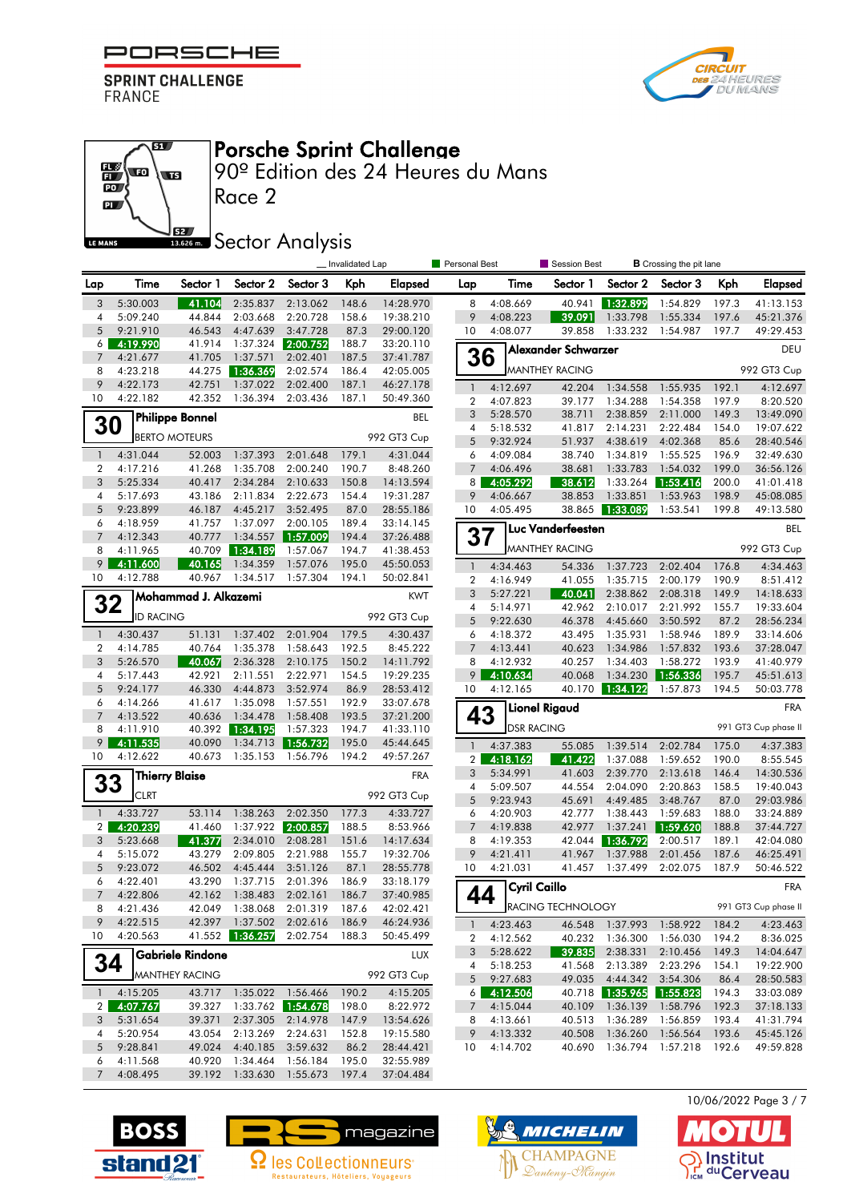

67

 $\overline{\mathbf{w}}$ 



#### Porsche Sprint Challenge

90º Edition des 24 Heures du Mans

 $\frac{1}{10}$  $\overline{\mathbf{p}}$ **SZ** LE MANS

## **SECONDER Analysis**

|                     |                      |                        |                                    |                      | _ Invalidated Lap |                        | Personal Best                  |                      | Session Best          |                      | <b>B</b> Crossing the pit lane |                |                        |
|---------------------|----------------------|------------------------|------------------------------------|----------------------|-------------------|------------------------|--------------------------------|----------------------|-----------------------|----------------------|--------------------------------|----------------|------------------------|
| Lap                 | Time                 | Sector 1               | Sector 2                           | Sector 3             | Kph               | Elapsed                | Lap                            | Time                 | Sector 1              | Sector 2             | Sector 3                       | Kph            | <b>Elapsed</b>         |
| 3                   | 5:30.003             | 41.104                 | 2:35.837                           | 2:13.062             | 148.6             | 14:28.970              | 8                              | 4:08.669             | 40.941                | 1:32.899             | 1:54.829                       | 197.3          | 41:13.153              |
| 4                   | 5:09.240             | 44.844                 | 2:03.668                           | 2:20.728             | 158.6             | 19:38.210              | 9                              | 4:08.223             | 39.091                | 1:33.798             | 1:55.334                       | 197.6          | 45:21.376              |
| 5                   | 9:21.910             | 46.543                 | 4:47.639                           | 3:47.728             | 87.3              | 29:00.120              | 10                             | 4:08.077             | 39.858                | 1:33.232             | 1:54.987                       | 197.7          | 49:29.453              |
| 6                   | 4:19.990             | 41.914                 | 1:37.324                           | 2:00.752             | 188.7             | 33:20.110              |                                |                      | Alexander Schwarzer   |                      |                                |                | DEU                    |
| $\overline{7}$<br>8 | 4:21.677<br>4:23.218 | 41.705<br>44.275       | 1:37.571<br>1:36.369               | 2:02.401<br>2:02.574 | 187.5<br>186.4    | 37:41.787<br>42:05.005 | 36                             |                      | <b>MANTHEY RACING</b> |                      |                                |                | 992 GT3 Cup            |
| 9                   | 4:22.173             | 42.751                 | 1:37.022                           | 2:02.400             | 187.1             | 46:27.178              | $\mathbf{1}$                   | 4:12.697             | 42.204                | 1:34.558             | 1:55.935                       | 192.1          | 4:12.697               |
| 10                  | 4:22.182             | 42.352                 | 1:36.394                           | 2:03.436             | 187.1             | 50:49.360              | $\overline{2}$                 | 4:07.823             | 39.177                | 1:34.288             | 1:54.358                       | 197.9          | 8:20.520               |
|                     |                      | <b>Philippe Bonnel</b> |                                    |                      |                   | BEL                    | 3                              | 5:28.570             | 38.711                | 2:38.859             | 2:11.000                       | 149.3          | 13:49.090              |
| 30                  |                      |                        |                                    |                      |                   |                        | 4                              | 5:18.532             | 41.817                | 2:14.231             | 2:22.484                       | 154.0          | 19:07.622              |
|                     |                      | <b>BERTO MOTEURS</b>   |                                    |                      |                   | 992 GT3 Cup            | 5                              | 9:32.924             | 51.937                | 4:38.619             | 4:02.368                       | 85.6           | 28:40.546              |
| $\overline{1}$      | 4:31.044             | 52.003                 | 1:37.393                           | 2:01.648             | 179.1             | 4:31.044               | 6                              | 4:09.084             | 38.740                | 1:34.819             | 1:55.525                       | 196.9          | 32:49.630              |
| $\overline{2}$      | 4:17.216             | 41.268                 | 1:35.708                           | 2:00.240             | 190.7             | 8:48.260               | 7                              | 4:06.496             | 38.681                | 1:33.783             | 1:54.032                       | 199.0          | 36:56.126              |
| $\mathbf{3}$        | 5:25.334             | 40.417                 | 2:34.284                           | 2:10.633             | 150.8             | 14:13.594              | 8                              | 4:05.292             | 38.612                | 1:33.264             | 1:53.416                       | 200.0          | 41:01.418              |
| 4<br>$\overline{5}$ | 5:17.693<br>9:23.899 | 43.186<br>46.187       | 2:11.834<br>4:45.217               | 2:22.673<br>3:52.495 | 154.4<br>87.0     | 19:31.287<br>28:55.186 | 9<br>10                        | 4:06.667             | 38.853<br>38.865      | 1:33.851<br>1:33.089 | 1:53.963<br>1:53.541           | 198.9<br>199.8 | 45:08.085              |
| 6                   | 4:18.959             | 41.757                 | 1:37.097                           | 2:00.105             | 189.4             | 33:14.145              |                                | 4:05.495             |                       |                      |                                |                | 49:13.580              |
| $\overline{7}$      | 4:12.343             | 40.777                 | 1:34.557                           | ▌1:57.009            | 194.4             | 37:26.488              | 37                             |                      | Luc Vanderfeesten     |                      |                                |                | <b>BEL</b>             |
| 8                   | 4:11.965             | 40.709                 | 1:34.189                           | 1:57.067             | 194.7             | 41:38.453              |                                |                      | <b>MANTHEY RACING</b> |                      |                                |                | 992 GT3 Cup            |
| 9                   | 4:11.600             | 40.165                 | 1:34.359                           | 1:57.076             | 195.0             | 45:50.053              | $\mathbf{1}$                   | 4:34.463             | 54.336                | 1:37.723             | 2:02.404                       | 176.8          | 4:34.463               |
| 10                  | 4:12.788             | 40.967                 | 1:34.517                           | 1:57.304             | 194.1             | 50:02.841              | $\overline{2}$                 | 4:16.949             | 41.055                | 1:35.715             | 2:00.179                       | 190.9          | 8:51.412               |
|                     |                      | Mohammad J. Alkazemi   |                                    |                      |                   | <b>KWT</b>             | 3                              | 5:27.221             | 40.041                | 2:38.862             | 2:08.318                       | 149.9          | 14:18.633              |
| 32                  | <b>ID RACING</b>     |                        |                                    |                      |                   |                        | 4                              | 5:14.971             | 42.962                | 2:10.017             | 2:21.992                       | 155.7          | 19:33.604              |
|                     |                      |                        |                                    |                      |                   | 992 GT3 Cup            | 5                              | 9:22.630             | 46.378                | 4:45.660             | 3:50.592                       | 87.2           | 28:56.234              |
| $\overline{1}$      | 4:30.437             | 51.131                 | 1:37.402                           | 2:01.904             | 179.5             | 4:30.437               | 6                              | 4:18.372             | 43.495                | 1:35.931             | 1:58.946                       | 189.9          | 33:14.606              |
| $\overline{2}$<br>3 | 4:14.785<br>5:26.570 | 40.764<br>40.067       | 1:35.378<br>2:36.328               | 1:58.643<br>2:10.175 | 192.5<br>150.2    | 8:45.222               | $7\overline{ }$<br>8           | 4:13.441<br>4:12.932 | 40.623<br>40.257      | 1:34.986<br>1:34.403 | 1:57.832<br>1:58.272           | 193.6<br>193.9 | 37:28.047<br>41:40.979 |
| 4                   | 5:17.443             | 42.921                 | 2:11.551                           | 2:22.971             | 154.5             | 14:11.792<br>19:29.235 | 9                              | 4:10.634             | 40.068                | 1:34.230             | 1:56.336                       | 195.7          | 45:51.613              |
| $\overline{5}$      | 9:24.177             | 46.330                 | 4:44.873                           | 3:52.974             | 86.9              | 28:53.412              | 10                             | 4:12.165             | 40.170                | 1:34.122             | 1:57.873                       | 194.5          | 50:03.778              |
| 6                   | 4:14.266             | 41.617                 | 1:35.098                           | 1:57.551             | 192.9             | 33:07.678              |                                |                      | <b>Lionel Rigaud</b>  |                      |                                |                | <b>FRA</b>             |
| $\overline{7}$      | 4:13.522             | 40.636                 | 1:34.478                           | 1:58.408             | 193.5             | 37:21.200              | 43                             |                      |                       |                      |                                |                |                        |
| 8                   | 4:11.910             | 40.392                 | 1:34.195                           | 1:57.323             | 194.7             | 41:33.110              |                                | <b>DSR RACING</b>    |                       |                      |                                |                | 991 GT3 Cup phase II   |
| 9                   | 4:11.535             | 40.090                 |                                    |                      | 195.0             | 45:44.645              | $\mathbf{1}$                   | 4:37.383             | 55.085                | 1:39.514             | 2:02.784                       | 175.0          | 4:37.383               |
| 10                  | 4:12.622             | 40.673                 | 1:35.153                           | 1:56.796             | 194.2             | 49:57.267              | 2 <sup>1</sup>                 | 4:18.162             | 41.422                | 1:37.088             | 1:59.652                       | 190.0          | 8:55.545               |
| 33                  |                      | <b>Thierry Blaise</b>  |                                    |                      |                   | <b>FRA</b>             | 3                              | 5:34.991             | 41.603                | 2:39.770             | 2:13.618                       | 146.4          | 14:30.536              |
|                     | <b>CLRT</b>          |                        |                                    |                      |                   | 992 GT3 Cup            | $\overline{4}$<br>5            | 5:09.507             | 44.554                | 2:04.090             | 2:20.863                       | 158.5          | 19:40.043              |
| $\overline{1}$      | 4:33.727             | 53.114                 | 1:38.263                           | 2:02.350             | 177.3             | 4:33.727               | 6                              | 9:23.943<br>4:20.903 | 45.691<br>42.777      | 4:49.485<br>1:38.443 | 3:48.767<br>1:59.683           | 87.0<br>188.0  | 29:03.986<br>33:24.889 |
| $\mathbf{2}$        | 4:20.239             | 41.460                 |                                    | 1:37.922 2:00.857    | 188.5             | 8:53.966               | $\overline{7}$                 | 4:19.838             | 42.977                | 1:37.241             | 1:59.620                       | 188.8          | 37:44.727              |
| 3                   | 5:23.668             | 41.377                 | 2:34.010                           | 2:08.281             | 151.6             | 14:17.634              | 8                              | 4:19.353             | 42.044                | 1:36.792             | 2:00.517                       | 189.1          | 42:04.080              |
| 4                   | 5:15.072             | 43.279                 | 2:09.805                           | 2:21.988             | 155.7             | 19:32.706              | 9                              | 4:21.411             | 41.967                | 1:37.988             | 2:01.456                       | 187.6          | 46:25.491              |
| 5                   | 9:23.072             | 46.502                 | 4:45.444                           | 3:51.126             | 87.1              | 28:55.778              | 10                             | 4:21.031             | 41.457                | 1:37.499             | 2:02.075                       | 187.9          | 50:46.522              |
| 6                   | 4:22.401             | 43.290                 | 1:37.715                           | 2:01.396             | 186.9             | 33:18.179              |                                | <b>Cyril Caillo</b>  |                       |                      |                                |                | <b>FRA</b>             |
| $\overline{7}$      | 4:22.806             | 42.162                 | 1:38.483                           | 2:02.161             | 186.7             | 37:40.985              | 44                             |                      | RACING TECHNOLOGY     |                      |                                |                | 991 GT3 Cup phase II   |
| 8<br>9              | 4:21.436<br>4:22.515 |                        | 42.049 1:38.068<br>42.397 1:37.502 | 2:01.319<br>2:02.616 | 187.6<br>186.9    | 42:02.421<br>46:24.936 |                                |                      |                       |                      |                                |                |                        |
| 10                  | 4:20.563             |                        | 41.552 1:36.257                    | 2:02.754             | 188.3             | 50:45.499              | $\mathbf{1}$<br>$\overline{2}$ | 4:23.463<br>4:12.562 | 46.548<br>40.232      | 1:37.993<br>1:36.300 | 1:58.922<br>1:56.030           | 184.2<br>194.2 | 4:23.463<br>8:36.025   |
|                     |                      | Gabriele Rindone       |                                    |                      |                   |                        | 3                              | 5:28.622             | 39.835                | 2:38.331             | 2:10.456                       | 149.3          | 14:04.647              |
| 34                  |                      |                        |                                    |                      |                   | <b>LUX</b>             | 4                              | 5:18.253             | 41.568                | 2:13.389             | 2:23.296                       | 154.1          | 19:22.900              |
|                     |                      | <b>MANTHEY RACING</b>  |                                    |                      |                   | 992 GT3 Cup            | 5                              | 9:27.683             | 49.035                | 4:44.342             | 3:54.306                       | 86.4           | 28:50.583              |
| $\mathbf{1}$        | 4:15.205             | 43.717                 | 1:35.022 1:56.466                  |                      | 190.2             | 4:15.205               | 6                              | 4:12.506             |                       | 40.718 1:35.965      | 1:55.823                       | 194.3          | 33:03.089              |
| $\overline{2}$      | 4:07.767             | 39.327                 |                                    |                      | 198.0             | 8:22.972               | 7                              | 4:15.044             | 40.109                | 1:36.139             | 1:58.796                       | 192.3          | 37:18.133              |
| 3                   | 5:31.654             | 39.371                 |                                    | 2:37.305 2:14.978    | 147.9             | 13:54.626              | 8                              | 4:13.661             | 40.513                | 1:36.289             | 1:56.859                       | 193.4          | 41:31.794              |
| 4                   | 5:20.954             | 43.054                 | 2:13.269                           | 2:24.631             | 152.8             | 19:15.580              | 9                              | 4:13.332             | 40.508                | 1:36.260             | 1:56.564                       | 193.6          | 45:45.126              |
| 5<br>6              | 9:28.841<br>4:11.568 | 49.024<br>40.920       | 4:40.185<br>1:34.464               | 3:59.632<br>1:56.184 | 86.2<br>195.0     | 28:44.421<br>32:55.989 | 10                             | 4:14.702             | 40.690                | 1:36.794             | 1:57.218                       | 192.6          | 49:59.828              |
| $7\overline{ }$     | 4:08.495             |                        | 39.192 1:33.630 1:55.673           |                      | 197.4             | 37:04.484              |                                |                      |                       |                      |                                |                |                        |
|                     |                      |                        |                                    |                      |                   |                        |                                |                      |                       |                      |                                |                |                        |







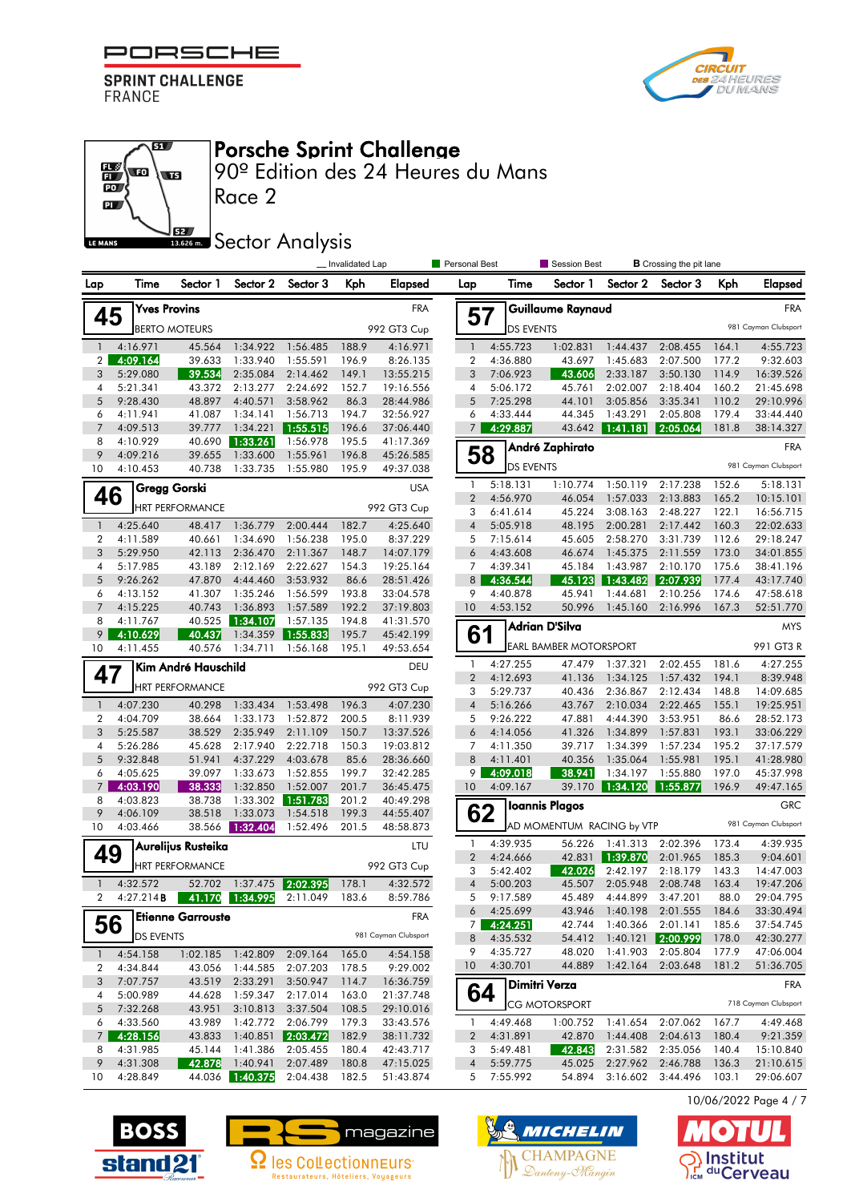

 $\overline{\mathbf{a}}$ 

 $\overline{\mathbf{w}}$ 



#### Porsche Sprint Challenge

90º Edition des 24 Heures du Mans

 $\overline{P}$ 62 LE MANS

 $\frac{1}{10}$ 

# **SEZ Sector Analysis**

|                |                      |                                   |                             |                      |                | Personal Best<br>Invalidated Lap |                       |                      | Session Best                  |                      | <b>B</b> Crossing the pit lane |                |                        |
|----------------|----------------------|-----------------------------------|-----------------------------|----------------------|----------------|----------------------------------|-----------------------|----------------------|-------------------------------|----------------------|--------------------------------|----------------|------------------------|
| Lap            | Time                 | Sector 1                          | Sector 2                    | Sector 3             | Kph            | Elapsed                          | Lap                   | Time                 | Sector 1                      | Sector 2             | Sector 3                       | Kph            | <b>Elapsed</b>         |
| 45             |                      | <b>Yves Provins</b>               |                             |                      |                | <b>FRA</b>                       | 57                    |                      | Guillaume Raynaud             |                      |                                |                | <b>FRA</b>             |
|                |                      | <b>BERTO MOTEURS</b>              |                             |                      |                | 992 GT3 Cup                      |                       | <b>DS EVENTS</b>     |                               |                      |                                |                | 981 Cayman Clubsport   |
| $\mathbf{1}$   | 4:16.971             | 45.564                            | 1:34.922                    | 1:56.485             | 188.9          | 4:16.971                         | $\mathbf{1}$          | 4:55.723             | 1:02.831                      | 1:44.437             | 2:08.455                       | 164.1          | 4:55.723               |
| 2              | 4:09.164             | 39.633                            | 1:33.940                    | 1:55.591             | 196.9          | 8:26.135                         | $\boldsymbol{2}$      | 4:36.880             | 43.697                        | 1:45.683             | 2:07.500                       | 177.2          | 9:32.603               |
| 3              | 5:29.080             | 39.534                            | 2:35.084                    | 2:14.462             | 149.1          | 13:55.215                        | 3                     | 7:06.923             | 43.606                        | 2:33.187             | 3:50.130                       | 114.9          | 16:39.526              |
| 4              | 5:21.341             | 43.372                            | 2:13.277                    | 2:24.692             | 152.7          | 19:16.556                        | 4                     | 5:06.172             | 45.761                        | 2:02.007             | 2:18.404                       | 160.2          | 21:45.698              |
| 5              | 9:28.430             | 48.897                            | 4:40.571                    | 3:58.962             | 86.3           | 28:44.986                        | 5                     | 7:25.298             | 44.101                        | 3:05.856             | 3:35.341                       | 110.2          | 29:10.996              |
| 6              | 4:11.941             | 41.087                            | 1:34.141                    | 1:56.713             | 194.7          | 32:56.927                        | 6                     | 4:33.444             | 44.345                        | 1:43.291             | 2:05.808                       | 179.4          | 33:44.440              |
| $\overline{7}$ | 4:09.513             | 39.777                            | 1:34.221                    | 1:55.515             | 196.6          | 37:06.440                        | $\overline{7}$        | 4:29.887             | 43.642                        | 1:41.181             | 2:05.064                       | 181.8          | 38:14.327              |
| 8<br>9         | 4:10.929<br>4:09.216 | 40.690<br>39.655                  | 1:33.261<br>1:33.600        | 1:56.978<br>1:55.961 | 195.5<br>196.8 | 41:17.369                        | 58                    |                      | André Zaphirato               |                      |                                |                | <b>FRA</b>             |
| 10             | 4:10.453             | 40.738                            | 1:33.735                    | 1:55.980             | 195.9          | 45:26.585<br>49:37.038           |                       | <b>DS EVENTS</b>     |                               |                      |                                |                | 981 Cayman Clubsport   |
|                |                      |                                   |                             |                      |                |                                  | 1                     | 5:18.131             | 1:10.774                      | 1:50.119             | 2:17.238                       | 152.6          | 5:18.131               |
| 46             |                      | Gregg Gorski                      |                             |                      |                | <b>USA</b>                       | $\overline{2}$        | 4:56.970             | 46.054                        | 1:57.033             | 2:13.883                       | 165.2          | 10:15.101              |
|                |                      | <b>HRT PERFORMANCE</b>            |                             |                      |                | 992 GT3 Cup                      | 3                     | 6:41.614             | 45.224                        | 3:08.163             | 2:48.227                       | 122.1          | 16:56.715              |
| $\mathbf{1}$   | 4:25.640             | 48.417                            | 1:36.779                    | 2:00.444             | 182.7          | 4:25.640                         | $\sqrt{4}$            | 5:05.918             | 48.195                        | 2:00.281             | 2:17.442                       | 160.3          | 22:02.633              |
| 2              | 4:11.589             | 40.661                            | 1:34.690                    | 1:56.238             | 195.0          | 8:37.229                         | 5                     | 7:15.614             | 45.605                        | 2:58.270             | 3:31.739                       | 112.6          | 29:18.247              |
| 3              | 5:29.950             | 42.113                            | 2:36.470                    | 2:11.367             | 148.7          | 14:07.179                        | 6                     | 4:43.608             | 46.674                        | 1:45.375             | 2:11.559                       | 173.0          | 34:01.855              |
| 4              | 5:17.985             | 43.189                            | 2:12.169                    | 2:22.627             | 154.3          | 19:25.164                        | 7                     | 4:39.341             | 45.184                        | 1:43.987             | 2:10.170                       | 175.6          | 38:41.196              |
| 5              | 9:26.262             | 47.870                            | 4:44.460                    | 3:53.932             | 86.6           | 28:51.426                        | 8 <sup>1</sup>        | 4:36.544             | 45.123                        | 1:43.482             | 2:07.939                       | 177.4          | 43:17.740              |
| 6              | 4:13.152             | 41.307                            | 1:35.246                    | 1:56.599             | 193.8          | 33:04.578                        | 9                     | 4:40.878             | 45.941                        | 1:44.681             | 2:10.256                       | 174.6          | 47:58.618              |
| $\overline{7}$ | 4:15.225             | 40.743                            | 1:36.893                    | 1:57.589             | 192.2          | 37:19.803                        | 10                    | 4:53.152             | 50.996                        | 1:45.160             | 2:16.996                       | 167.3          | 52:51.770              |
| 8              | 4:11.767             | 40.525                            | 1:34.107                    | 1:57.135             | 194.8          | 41:31.570                        |                       |                      | Adrian D'Silva                |                      |                                |                | <b>MYS</b>             |
| 9              | 4:10.629             | 40.437                            | 1:34.359                    | 1:55.833             | 195.7          | 45:42.199                        | 61                    |                      | <b>EARL BAMBER MOTORSPORT</b> |                      |                                |                | 991 GT3 R              |
| 10             | 4:11.455             | 40.576                            | 1:34.711                    | 1:56.168             | 195.1          | 49:53.654                        |                       |                      |                               |                      |                                |                |                        |
| 47             |                      | Kim André Hauschild               |                             |                      |                | DEU                              | 1<br>$\overline{2}$   | 4:27.255             | 47.479                        | 1:37.321             | 2:02.455                       | 181.6          | 4:27.255               |
|                |                      | <b>HRT PERFORMANCE</b>            |                             |                      |                | 992 GT3 Cup                      | 3                     | 4:12.693<br>5:29.737 | 41.136<br>40.436              | 1:34.125<br>2:36.867 | 1:57.432<br>2:12.434           | 194.1<br>148.8 | 8:39.948<br>14:09.685  |
| $\mathbf{1}$   | 4:07.230             | 40.298                            | 1:33.434                    | 1:53.498             | 196.3          | 4:07.230                         | $\overline{4}$        | 5:16.266             | 43.767                        | 2:10.034             | 2:22.465                       | 155.1          | 19:25.951              |
| 2              | 4:04.709             | 38.664                            | 1:33.173                    | 1:52.872             | 200.5          | 8:11.939                         | 5                     | 9:26.222             | 47.881                        | 4:44.390             | 3:53.951                       | 86.6           | 28:52.173              |
| 3              | 5:25.587             | 38.529                            | 2:35.949                    | 2:11.109             | 150.7          | 13:37.526                        | 6                     | 4:14.056             | 41.326                        | 1:34.899             | 1:57.831                       | 193.1          | 33:06.229              |
| 4              | 5:26.286             | 45.628                            | 2:17.940                    | 2:22.718             | 150.3          | 19:03.812                        | 7                     | 4:11.350             | 39.717                        | 1:34.399             | 1:57.234                       | 195.2          | 37:17.579              |
| 5              | 9:32.848             | 51.941                            | 4:37.229                    | 4:03.678             | 85.6           | 28:36.660                        | 8                     | 4:11.401             | 40.356                        | 1:35.064             | 1:55.981                       | 195.1          | 41:28.980              |
| 6              | 4:05.625             | 39.097                            | 1:33.673                    | 1:52.855             | 199.7          | 32:42.285                        | 9                     | 4:09.018             | 38.941                        | 1:34.197             | 1:55.880                       | 197.0          | 45:37.998              |
| $\overline{7}$ | 4:03.190             | 38.333                            | 1:32.850                    | 1:52.007             | 201.7          | 36:45.475                        | 10                    | 4:09.167             | 39.170                        | 1:34.120             | 1:55.877                       | 196.9          | 49:47.165              |
| 8              | 4:03.823             | 38.738                            | 1:33.302                    | 1:51.783             | 201.2          | 40:49.298                        |                       |                      | <b>Ioannis Plagos</b>         |                      |                                |                | <b>GRC</b>             |
| 9              | 4:06.109             | 38.518                            | 1:33.073                    | 1:54.518             | 199.3          | 44:55.407                        | 62                    |                      |                               |                      |                                |                | 981 Cayman Clubsport   |
| 10             | 4:03.466             | 38.566                            | 1:32.404                    | 1:52.496             | 201.5          | 48:58.873                        |                       |                      | AD MOMENTUM RACING by VTP     |                      |                                |                |                        |
| 49             |                      | Aurelijus Rusteika                |                             |                      |                | LTU                              | 1<br>$\boldsymbol{2}$ | 4:39.935<br>4:24.666 | 56.226<br>42.831              | 1:41.313<br>1:39.870 | 2:02.396<br>2:01.965           | 173.4<br>185.3 | 4:39.935<br>9:04.601   |
|                |                      | <b>HRT PERFORMANCE</b>            |                             |                      |                | 992 GT3 Cup                      | 3                     | 5:42.402             | 42.026                        | 2:42.197             | 2:18.179                       | 143.3          | 14:47.003              |
| $\mathbf{1}$   | 4:32.572             | 52.702                            | 1:37.475 2:02.395           |                      | 178.1          | 4:32.572                         | $\overline{4}$        | 5:00.203             | 45.507                        | 2:05.948             | 2:08.748                       | 163.4          | 19:47.206              |
|                |                      | 4:27.214 <b>B</b> 41.170 1:34.995 |                             | 2:11.049             | 183.6          | 8:59.786                         | 5                     | 9:17.589             | 45.489                        | 4:44.899             | 3:47.201                       | 88.0           | 29:04.795              |
|                |                      |                                   |                             |                      |                |                                  | 6                     | 4:25.699             | 43.946                        | 1:40.198             | 2:01.555                       | 184.6          | 33:30.494              |
| 56             |                      | <b>Etienne Garrouste</b>          |                             |                      |                | <b>FRA</b>                       |                       | 74:24.251            | 42.744                        | 1:40.366             | 2:01.141                       | 185.6          | 37:54.745              |
|                | <b>DS EVENTS</b>     |                                   |                             |                      |                | 981 Cayman Clubsport             | 8                     | 4:35.532             | 54.412                        | 1:40.121             | 2:00.999                       | 178.0          | 42:30.277              |
| $\mathbf{1}$   | 4:54.158             | 1:02.185                          | 1:42.809                    | 2:09.164             | 165.0          | 4:54.158                         | 9                     | 4:35.727             | 48.020                        | 1:41.903             | 2:05.804                       | 177.9          | 47:06.004              |
| 2              | 4:34.844             | 43.056                            |                             | 1:44.585 2:07.203    | 178.5          | 9:29.002                         | 10                    | 4:30.701             | 44.889                        | 1:42.164             | 2:03.648                       | 181.2          | 51:36.705              |
| 3              | 7:07.757             | 43.519                            | 2:33.291                    | 3:50.947             | 114.7          | 16:36.759                        |                       |                      | Dimitri Verza                 |                      |                                |                | <b>FRA</b>             |
| 4              | 5:00.989             | 44.628                            | 1:59.347                    | 2:17.014             | 163.0          | 21:37.748                        | 64                    |                      | <b>CG MOTORSPORT</b>          |                      |                                |                | 718 Cayman Clubsport   |
| 5              | 7:32.268             | 43.951                            | 3:10.813                    | 3:37.504             | 108.5          | 29:10.016                        |                       |                      |                               |                      |                                |                |                        |
| 6              | 4:33.560             | 43.989                            | 1:42.772                    | 2:06.799             | 179.3          | 33:43.576                        | 1                     | 4:49.468             | 1:00.752                      | 1:41.654             | 2:07.062                       | 167.7          | 4:49.468               |
| $\overline{7}$ | 4:28.156             | 43.833                            |                             | $1:40.851$ 2:03.472  | 182.9          | 38:11.732                        | 2                     | 4:31.891             | 42.870                        | 1:44.408             | 2:04.613                       | 180.4          | 9:21.359               |
| 8              | 4:31.985             | 45.144                            | 1:41.386                    | 2:05.455             | 180.4          | 42:43.717                        | 3                     | 5:49.481             | 42.843                        | 2:31.582             | 2:35.056                       | 140.4          | 15:10.840              |
| 9<br>10        | 4:31.308<br>4:28.849 | 42.878                            | 1:40.941<br>44.036 1:40.375 | 2:07.489<br>2:04.438 | 180.8<br>182.5 | 47:15.025                        | 4<br>5                | 5:59.775<br>7:55.992 | 45.025<br>54.894              | 2:27.962             | 2:46.788<br>3:16.602 3:44.496  | 136.3<br>103.1 | 21:10.615<br>29:06.607 |
|                |                      |                                   |                             |                      |                | 51:43.874                        |                       |                      |                               |                      |                                |                |                        |







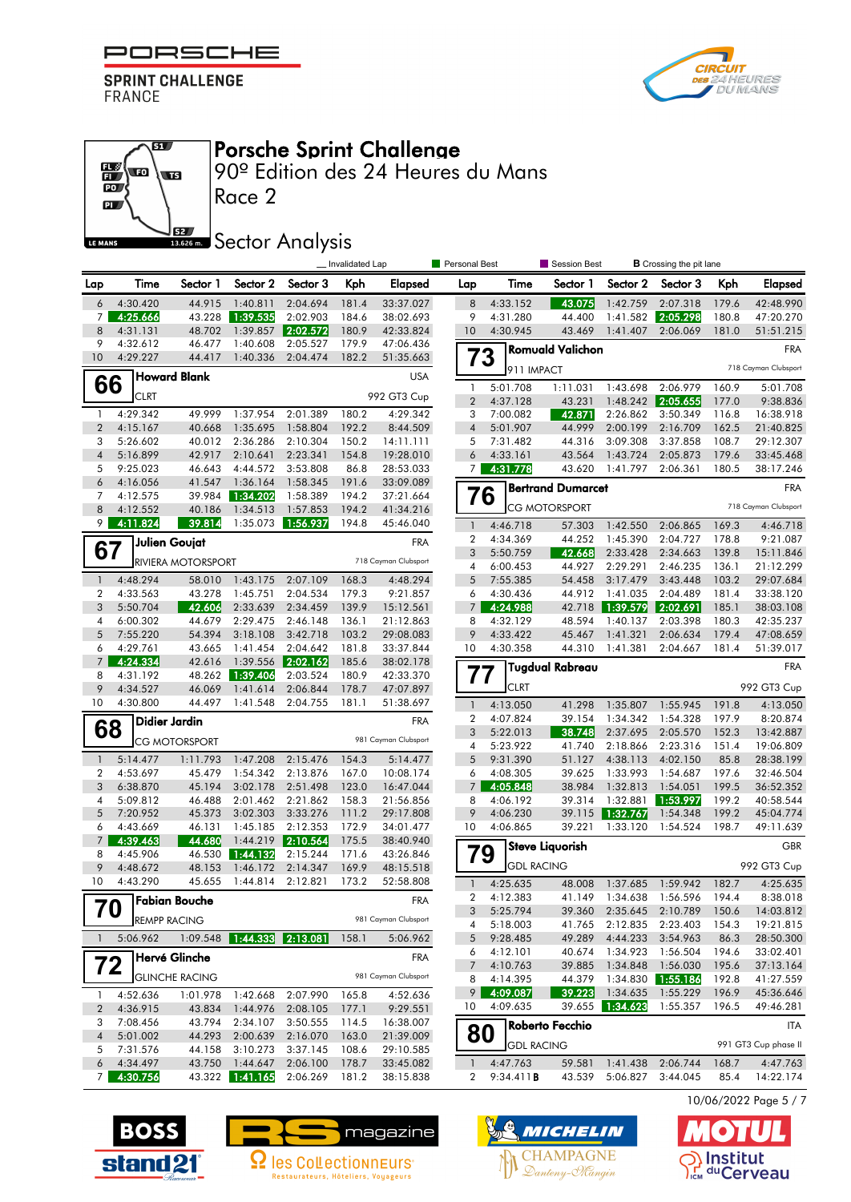

 $\overline{\mathbf{B}}$ 

**ST** 



#### Porsche Sprint Challenge

90º Edition des 24 Heures du Mans

 $\overline{\mathbf{p}}$ **SZ** LE MANS

 $\frac{1}{10}$ **vo** 

# **SECONDER Analysis**

|                     |                      |                           |                             |                       | _ Invalidated Lap |                        | Personal Best           |                      | Session Best             |                       | <b>B</b> Crossing the pit lane |                |                        |
|---------------------|----------------------|---------------------------|-----------------------------|-----------------------|-------------------|------------------------|-------------------------|----------------------|--------------------------|-----------------------|--------------------------------|----------------|------------------------|
| Lap                 | Time                 | Sector 1                  | Sector 2                    | Sector 3              | Kph               | Elapsed                | Lap                     | Time                 | Sector 1                 | Sector 2              | Sector 3                       | Kph            | Elapsed                |
| 6                   | 4:30.420             | 44.915                    | 1:40.811                    | 2:04.694              | 181.4             | 33:37.027              | 8                       | 4:33.152             | 43.075                   | 1:42.759              | 2:07.318                       | 179.6          | 42:48.990              |
| $\overline{7}$      | 4:25.666             | 43.228                    | 1:39.535                    | 2:02.903              | 184.6             | 38:02.693              | 9                       | 4:31.280             | 44.400                   | 1:41.582              | 2:05.298                       | 180.8          | 47:20.270              |
| 8                   | 4:31.131             | 48.702                    | 1:39.857                    | 2:02.572              | 180.9             | 42:33.824              | 10                      | 4:30.945             | 43.469                   | 1:41.407              | 2:06.069                       | 181.0          | 51:51.215              |
| 9                   | 4:32.612             | 46.477                    | 1:40.608                    | 2:05.527              | 179.9             | 47:06.436              |                         |                      | <b>Romuald Valichon</b>  |                       |                                |                | <b>FRA</b>             |
| 10                  | 4:29.227             | 44.417                    | 1:40.336                    | 2:04.474              | 182.2             | 51:35.663              | 73                      | 911 IMPACT           |                          |                       |                                |                | 718 Cayman Clubsport   |
| 66                  |                      | <b>Howard Blank</b>       |                             |                       |                   | <b>USA</b>             | $\mathbf{1}$            | 5:01.708             | 1:11.031                 | 1:43.698              | 2:06.979                       | 160.9          | 5:01.708               |
|                     | <b>CLRT</b>          |                           |                             |                       |                   | 992 GT3 Cup            | $\overline{2}$          | 4:37.128             | 43.231                   | 1:48.242              | 2:05.655                       | 177.0          | 9:38.836               |
| $\mathbf{1}$        | 4:29.342             | 49.999                    | 1:37.954                    | 2:01.389              | 180.2             | 4:29.342               | 3                       | 7:00.082             | 42.871                   | 2:26.862              | 3:50.349                       | 116.8          | 16:38.918              |
| $\overline{2}$      | 4:15.167             | 40.668                    | 1:35.695                    | 1:58.804              | 192.2             | 8:44.509               | $\overline{4}$          | 5:01.907             | 44.999                   | 2:00.199              | 2:16.709                       | 162.5          | 21:40.825              |
| 3                   | 5:26.602             | 40.012                    | 2:36.286                    | 2:10.304              | 150.2             | 14:11.111              | 5                       | 7:31.482             | 44.316                   | 3:09.308              | 3:37.858                       | 108.7          | 29:12.307              |
| $\overline{4}$      | 5:16.899             | 42.917                    | 2:10.641                    | 2:23.341              | 154.8             | 19:28.010              | 6                       | 4:33.161             | 43.564                   | 1:43.724              | 2:05.873                       | 179.6          | 33:45.468              |
| 5                   | 9:25.023             | 46.643                    | 4:44.572                    | 3:53.808              | 86.8              | 28:53.033              | 7 <sup>1</sup>          | 4:31.778             | 43.620                   | 1:41.797              | 2:06.361                       | 180.5          | 38:17.246              |
| 6<br>7              | 4:16.056<br>4:12.575 | 41.547<br>39.984          | 1:36.164<br>1:34.202        | 1:58.345<br>1:58.389  | 191.6<br>194.2    | 33:09.089<br>37:21.664 | 76                      |                      | <b>Bertrand Dumarcet</b> |                       |                                |                | <b>FRA</b>             |
| 8                   | 4:12.552             | 40.186                    | 1:34.513                    | 1:57.853              | 194.2             | 41:34.216              |                         |                      | <b>CG MOTORSPORT</b>     |                       |                                |                | 718 Cayman Clubsport   |
| 9                   | 4:11.824             | 39.814                    | 1:35.073                    | 1:56.937              | 194.8             | 45:46.040              | $\mathbf{1}$            | 4:46.718             | 57.303                   | 1:42.550              | 2:06.865                       | 169.3          | 4:46.718               |
|                     |                      |                           |                             |                       |                   |                        | 2                       | 4:34.369             | 44.252                   | 1:45.390              | 2:04.727                       | 178.8          | 9:21.087               |
| 67                  |                      | Julien Goujat             |                             |                       |                   | <b>FRA</b>             | 3                       | 5:50.759             | 42.668                   | 2:33.428              | 2:34.663                       | 139.8          | 15:11.846              |
|                     |                      | <b>RIVIERA MOTORSPORT</b> |                             |                       |                   | 718 Cayman Clubsport   | $\overline{4}$          | 6:00.453             | 44.927                   | 2:29.291              | 2:46.235                       | 136.1          | 21:12.299              |
| $\mathbf{1}$        | 4:48.294             | 58.010                    | 1:43.175                    | 2:07.109              | 168.3             | 4:48.294               | 5                       | 7:55.385             | 54.458                   | 3:17.479              | 3:43.448                       | 103.2          | 29:07.684              |
| $\overline{2}$      | 4:33.563             | 43.278                    | 1:45.751                    | 2:04.534              | 179.3             | 9:21.857               | 6                       | 4:30.436             | 44.912                   | 1:41.035              | 2:04.489                       | 181.4          | 33:38.120              |
| 3                   | 5:50.704             | 42.606                    | 2:33.639                    | 2:34.459              | 139.9             | 15:12.561              | $\overline{7}$          | 4:24.988             | 42.718                   | 1:39.579              | 2:02.691                       | 185.1          | 38:03.108              |
| 4                   | 6:00.302             | 44.679                    | 2:29.475                    | 2:46.148              | 136.1             | 21:12.863              | 8                       | 4:32.129             | 48.594                   | 1:40.137              | 2:03.398                       | 180.3          | 42:35.237              |
| 5                   | 7:55.220             | 54.394                    | 3:18.108                    | 3:42.718              | 103.2             | 29:08.083              | 9                       | 4:33.422             | 45.467                   | 1:41.321              | 2:06.634                       | 179.4          | 47:08.659              |
| 6                   | 4:29.761             | 43.665                    | 1:41.454                    | 2:04.642              | 181.8             | 33:37.844              | 10                      | 4:30.358             | 44.310                   | 1:41.381              | 2:04.667                       | 181.4          | 51:39.017              |
| $\overline{7}$<br>8 | 4:24.334<br>4:31.192 | 42.616                    | 1:39.556<br>48.262 1:39.406 | 2:02.162 <br>2:03.524 | 185.6<br>180.9    | 38:02.178<br>42:33.370 | 77                      |                      | <b>Tugdual Rabreau</b>   |                       |                                |                | <b>FRA</b>             |
| 9                   | 4:34.527             | 46.069                    | 1:41.614                    | 2:06.844              | 178.7             | 47:07.897              |                         | <b>CLRT</b>          |                          |                       |                                |                | 992 GT3 Cup            |
| 10                  | 4:30.800             | 44.497                    | 1:41.548                    | 2:04.755              | 181.1             | 51:38.697              | $\mathbf{1}$            | 4:13.050             | 41.298                   | 1:35.807              | 1:55.945                       | 191.8          | 4:13.050               |
|                     |                      | Didier Jardin             |                             |                       |                   | <b>FRA</b>             | 2                       | 4:07.824             | 39.154                   | 1:34.342              | 1:54.328                       | 197.9          | 8:20.874               |
| 68                  |                      |                           |                             |                       |                   |                        | 3                       | 5:22.013             | 38.748                   | 2:37.695              | 2:05.570                       | 152.3          | 13:42.887              |
|                     |                      | CG MOTORSPORT             |                             |                       |                   | 981 Cayman Clubsport   | 4                       | 5:23.922             | 41.740                   | 2:18.866              | 2:23.316                       | 151.4          | 19:06.809              |
| $\mathbf{1}$        | 5:14.477             | 1:11.793                  | 1:47.208                    | 2:15.476              | 154.3             | 5:14.477               | 5                       | 9:31.390             | 51.127                   | 4:38.113              | 4:02.150                       | 85.8           | 28:38.199              |
| 2                   | 4:53.697             | 45.479                    | 1:54.342                    | 2:13.876              | 167.0             | 10:08.174              | 6                       | 4:08.305             | 39.625                   | 1:33.993              | 1:54.687                       | 197.6          | 32:46.504              |
| 3                   | 6:38.870             | 45.194                    | 3:02.178                    | 2:51.498              | 123.0             | 16:47.044              | 7                       | 4:05.848             | 38.984                   | 1:32.813              | 1:54.051                       | 199.5          | 36:52.352              |
| 4<br>5              | 5:09.812             | 46.488                    | 2:01.462                    | 2:21.862              | 158.3             | 21:56.856              | 8<br>9                  | 4:06.192             | 39.314                   | 1:32.881              | 1:53.997                       | 199.2          | 40:58.544              |
| 6                   | 7:20.952<br>4:43.669 | 45.373<br>46.131          | 3:02.303<br>1:45.185        | 3:33.276<br>2:12.353  | 111.2<br>172.9    | 29:17.808<br>34:01.477 | 10                      | 4:06.230<br>4:06.865 | 39.115<br>39.221         | 1:32.767 <br>1:33.120 | 1:54.348<br>1:54.524           | 199.2<br>198.7 | 45:04.774<br>49:11.639 |
| $\overline{7}$      | 4:39.463             | 44.680                    | 1:44.219                    | 2:10.564              | 175.5             | 38:40.940              |                         |                      |                          |                       |                                |                |                        |
| 8                   | 4:45.906             | 46.530                    | 1:44.132                    | 2:15.244              | 171.6             | 43:26.846              | 79                      |                      | <b>Steve Liquorish</b>   |                       |                                |                | GBR                    |
| 9                   | 4:48.672             | 48.153                    | 1:46.172                    | 2:14.347              | 169.9             | 48:15.518              |                         | <b>GDL RACING</b>    |                          |                       |                                |                | 992 GT3 Cup            |
| 10                  | 4:43.290             | 45.655                    | 1:44.814                    | 2:12.821              | 173.2             | 52:58.808              | $\mathbf{1}$            | 4:25.635             | 48.008                   | 1:37.685              | 1:59.942                       | 182.7          | 4:25.635               |
|                     |                      | <b>7 Fabian Bouche</b>    |                             |                       |                   | <b>FRA</b>             | $\overline{\mathbf{c}}$ | 4:12.383             | 41.149                   | 1:34.638              | 1:56.596                       | 194.4          | 8:38.018               |
|                     | 70                   |                           |                             |                       |                   | 981 Cayman Clubsport   | 3                       | 5:25.794             | 39.360                   | 2:35.645              | 2:10.789                       | 150.6          | 14:03.812              |
|                     | <b>REMPP RACING</b>  |                           |                             |                       |                   |                        | 4                       | 5:18.003             | 41.765                   | 2:12.835              | 2:23.403                       | 154.3          | 19:21.815              |
| 1                   | 5:06.962             |                           |                             |                       | 158.1             | 5:06.962               | 5                       | 9:28.485             | 49.289                   | 4:44.233              | 3:54.963                       | 86.3           | 28:50.300              |
| 72                  |                      | <b>Hervé Glinche</b>      |                             |                       |                   | <b>FRA</b>             | 6<br>7                  | 4:12.101<br>4:10.763 | 40.674<br>39.885         | 1:34.923<br>1:34.848  | 1:56.504<br>1:56.030           | 194.6<br>195.6 | 33:02.401<br>37:13.164 |
|                     |                      | <b>GLINCHE RACING</b>     |                             |                       |                   | 981 Cayman Clubsport   | 8                       | 4:14.395             | 44.379                   | 1:34.830              | 1:55.186                       | 192.8          | 41:27.559              |
| 1                   | 4:52.636             | 1:01.978                  | 1:42.668                    | 2:07.990              | 165.8             | 4:52.636               | 9                       | 4:09.087             | 39.223                   | 1:34.635              | 1:55.229                       | 196.9          | 45:36.646              |
| $\overline{c}$      | 4:36.915             | 43.834                    | 1:44.976                    | 2:08.105              | 177.1             | 9:29.551               | 10                      | 4:09.635             | 39.655                   | 1:34.623              | 1:55.357                       | 196.5          | 49:46.281              |
| 3                   | 7:08.456             | 43.794                    | 2:34.107                    | 3:50.555              | 114.5             | 16:38.007              |                         |                      | Roberto Fecchio          |                       |                                |                | <b>ITA</b>             |
| 4                   | 5:01.002             | 44.293                    | 2:00.639                    | 2:16.070              | 163.0             | 21:39.009              | 80                      |                      |                          |                       |                                |                |                        |
| 5                   | 7:31.576             | 44.158                    | 3:10.273                    | 3:37.145              | 108.6             | 29:10.585              |                         | <b>GDL RACING</b>    |                          |                       |                                |                | 991 GT3 Cup phase II   |
| 6                   | 4:34.497             | 43.750                    | 1:44.647                    | 2:06.100              | 178.7             | 33:45.082              | $\mathbf{1}$            | 4:47.763             | 59.581                   | 1:41.438              | 2:06.744                       | 168.7          | 4:47.763               |
| 7 <sup>1</sup>      | 4:30.756             |                           | 43.322 1:41.165             | 2:06.269              | 181.2             | 38:15.838              | 2                       | 9:34.411B            | 43.539                   |                       | 5:06.827 3:44.045              | 85.4           | 14:22.174              |
|                     |                      |                           |                             |                       |                   |                        |                         |                      |                          |                       |                                |                |                        |







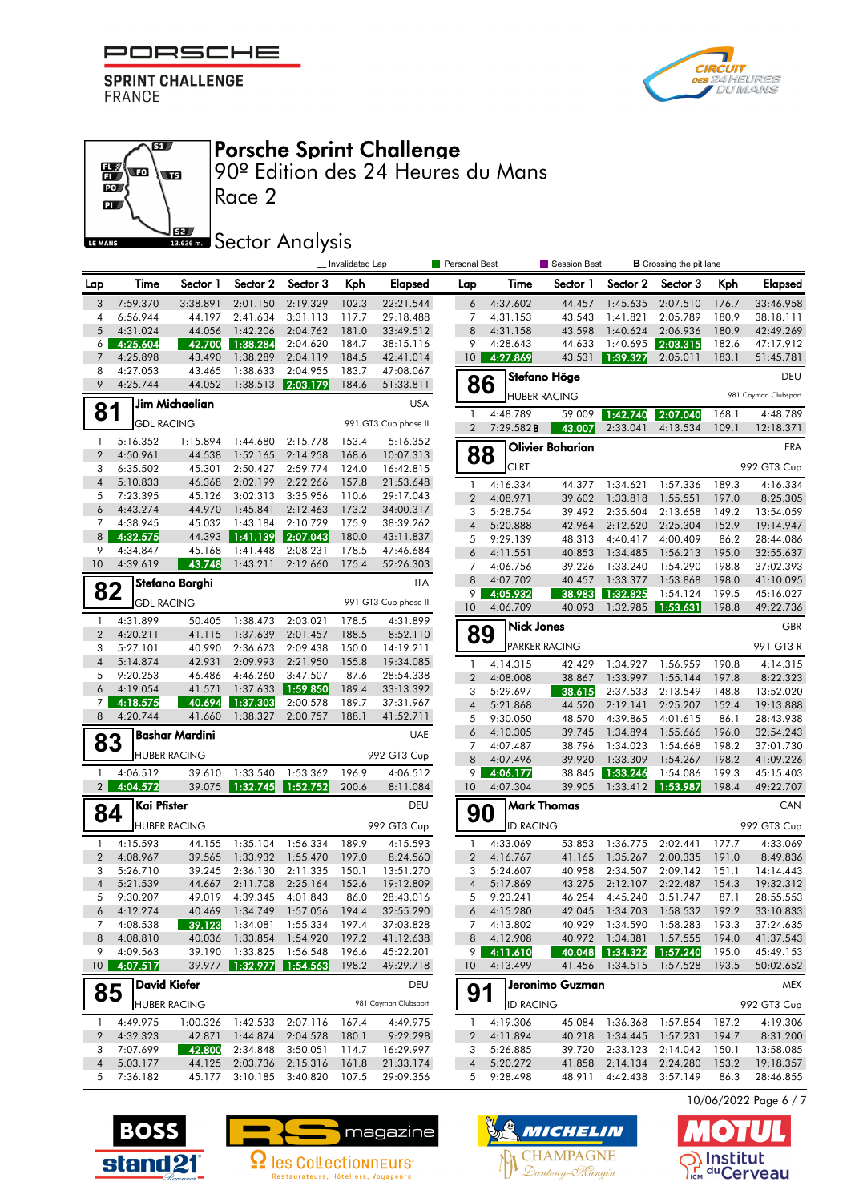#### F PORSCHE

**SPRINT CHALLENGE** FRANCE

 $\overline{\mathbf{S}}$ 

 $\overline{\mathbf{w}}$ 



#### Porsche Sprint Challenge

90º Edition des 24 Heures du Mans

 $\overline{\mathbf{p}}$ 62 LE MANS

 $\frac{1}{10}$ 

# **SECONDER Analysis**

|                                |                      |                       |                       |                        | _ Invalidated Lap |                        | Personal Best       |                      | Session Best        |                      | <b>B</b> Crossing the pit lane |                |                        |
|--------------------------------|----------------------|-----------------------|-----------------------|------------------------|-------------------|------------------------|---------------------|----------------------|---------------------|----------------------|--------------------------------|----------------|------------------------|
| Lap                            | Time                 | Sector 1              | Sector 2              | Sector 3               | Kph               | Elapsed                | Lap                 | Time                 | Sector 1            | Sector 2             | Sector 3                       | Kph            | <b>Elapsed</b>         |
| 3                              | 7:59.370             | 3:38.891              | 2:01.150              | 2:19.329               | 102.3             | 22:21.544              | 6                   | 4:37.602             | 44.457              | 1:45.635             | 2:07.510                       | 176.7          | 33:46.958              |
| 4                              | 6:56.944             | 44.197                | 2:41.634              | 3:31.113               | 117.7             | 29:18.488              | 7                   | 4:31.153             | 43.543              | 1:41.821             | 2:05.789                       | 180.9          | 38:18.111              |
| 5                              | 4:31.024             | 44.056                | 1:42.206              | 2:04.762               | 181.0             | 33:49.512              | 8                   | 4:31.158             | 43.598              | 1:40.624             | 2:06.936                       | 180.9          | 42:49.269              |
| 6 <sup>1</sup>                 | 4:25.604             | 42.700                | 1:38.284              | 2:04.620               | 184.7             | 38:15.116              | 9                   | 4:28.643             | 44.633              | 1:40.695             | 2:03.315                       | 182.6          | 47:17.912              |
| 7                              | 4:25.898             | 43.490                | 1:38.289              | 2:04.119               | 184.5             | 42:41.014              | 10 <sup>°</sup>     | 4:27.869             | 43.531              | 1:39.327             | 2:05.011                       | 183.1          | 51:45.781              |
| 8<br>9                         | 4:27.053<br>4:25.744 | 43.465                | 1:38.633              | 2:04.955               | 183.7             | 47:08.067              |                     |                      | Stefano Höge        |                      |                                |                | DEU                    |
|                                |                      | 44.052                | 1:38.513              | 2:03.179               | 184.6             | 51:33.811              | 86                  |                      | <b>HUBER RACING</b> |                      |                                |                | 981 Cayman Clubsport   |
| 81                             |                      | Jim Michaelian        |                       |                        |                   | <b>USA</b>             | $\mathbf{1}$        | 4:48.789             | 59.009              | 1:42.740             | 2:07.040                       | 168.1          | 4:48.789               |
|                                | <b>GDL RACING</b>    |                       |                       |                        |                   | 991 GT3 Cup phase II   | $\overline{2}$      | 7:29.582B            | 43.007              | 2:33.041             | 4:13.534                       | 109.1          | 12:18.371              |
| $\mathbf{1}$                   | 5:16.352             | 1:15.894              | 1:44.680              | 2:15.778               | 153.4             | 5:16.352               |                     |                      | Olivier Baharian    |                      |                                |                | <b>FRA</b>             |
| $\overline{2}$                 | 4:50.961             | 44.538                | 1:52.165              | 2:14.258               | 168.6             | 10:07.313              | 88                  | <b>CLRT</b>          |                     |                      |                                |                | 992 GT3 Cup            |
| 3<br>$\sqrt{4}$                | 6:35.502<br>5:10.833 | 45.301<br>46.368      | 2:50.427<br>2:02.199  | 2:59.774<br>2:22.266   | 124.0<br>157.8    | 16:42.815<br>21:53.648 |                     |                      |                     |                      |                                |                |                        |
| 5                              | 7:23.395             | 45.126                | 3:02.313              | 3:35.956               | 110.6             | 29:17.043              | $\mathbf{1}$        | 4:16.334             | 44.377              | 1:34.621             | 1:57.336                       | 189.3          | 4:16.334               |
| 6                              | 4:43.274             | 44.970                | 1:45.841              | 2:12.463               | 173.2             | 34:00.317              | $\overline{2}$<br>3 | 4:08.971<br>5:28.754 | 39.602<br>39.492    | 1:33.818<br>2:35.604 | 1:55.551<br>2:13.658           | 197.0          | 8:25.305<br>13:54.059  |
| 7                              | 4:38.945             | 45.032                | 1:43.184              | 2:10.729               | 175.9             | 38:39.262              | $\overline{4}$      | 5:20.888             | 42.964              | 2:12.620             | 2:25.304                       | 149.2<br>152.9 | 19:14.947              |
| 8 <sup>1</sup>                 | 4:32.575             | 44.393                | 1:41.139              | 2:07.043               | 180.0             | 43:11.837              | 5                   | 9:29.139             | 48.313              | 4:40.417             | 4:00.409                       | 86.2           | 28:44.086              |
| 9                              | 4:34.847             | 45.168                | 1:41.448              | 2:08.231               | 178.5             | 47:46.684              | 6                   | 4:11.551             | 40.853              | 1:34.485             | 1:56.213                       | 195.0          | 32:55.637              |
| 10                             | 4:39.619             | 43.748                | 1:43.211              | 2:12.660               | 175.4             | 52:26.303              | 7                   | 4:06.756             | 39.226              | 1:33.240             | 1:54.290                       | 198.8          | 37:02.393              |
|                                |                      |                       |                       |                        |                   |                        | 8                   | 4:07.702             | 40.457              | 1:33.377             | 1:53.868                       | 198.0          | 41:10.095              |
| 82                             |                      | Stefano Borghi        |                       |                        |                   | <b>ITA</b>             | 9                   | 4:05.932             | 38.983              | 1:32.825             | 1:54.124                       | 199.5          | 45:16.027              |
|                                | <b>GDL RACING</b>    |                       |                       |                        |                   | 991 GT3 Cup phase II   | 10                  | 4:06.709             | 40.093              | 1:32.985             | 1:53.631                       | 198.8          | 49:22.736              |
| $\mathbf{1}$                   | 4:31.899             | 50.405                | 1:38.473              | 2:03.021               | 178.5             | 4:31.899               |                     | <b>Nick Jones</b>    |                     |                      |                                |                | <b>GBR</b>             |
| $\overline{2}$                 | 4:20.211             | 41.115                | 1:37.639              | 2:01.457               | 188.5             | 8:52.110               | 89                  |                      |                     |                      |                                |                |                        |
| 3                              | 5:27.101             | 40.990                | 2:36.673              | 2:09.438               | 150.0             | 14:19.211              |                     |                      | PARKER RACING       |                      |                                |                | 991 GT3 R              |
| $\overline{4}$                 | 5:14.874             | 42.931                | 2:09.993              | 2:21.950               | 155.8             | 19:34.085              | $\mathbf{1}$        | 4:14.315             | 42.429              | 1:34.927             | 1:56.959                       | 190.8          | 4:14.315               |
| 5                              | 9:20.253             | 46.486                | 4:46.260              | 3:47.507               | 87.6              | 28:54.338              | $\overline{2}$      | 4:08.008             | 38.867              | 1:33.997             | 1:55.144                       | 197.8          | 8:22.323               |
| 6                              | 4:19.054             | 41.571                | 1:37.633              | 1:59.850               | 189.4             | 33:13.392              | 3                   | 5:29.697             | 38.615              | 2:37.533             | 2:13.549                       | 148.8          | 13:52.020              |
| 7 <sup>1</sup>                 | 4:18.575             | 40.694                | 1:37.303              | 2:00.578               | 189.7             | 37:31.967              | $\overline{4}$      | 5:21.868             | 44.520              | 2:12.141             | 2:25.207                       | 152.4          | 19:13.888              |
| 8                              | 4:20.744             | 41.660                | 1:38.327              | 2:00.757               | 188.1             | 41:52.711              | 5                   | 9:30.050             | 48.570              | 4:39.865             | 4:01.615                       | 86.1           | 28:43.938              |
| 83                             |                      | <b>Bashar Mardini</b> |                       |                        |                   | <b>UAE</b>             | 6                   | 4:10.305             | 39.745              | 1:34.894             | 1:55.666                       | 196.0          | 32:54.243              |
|                                |                      | <b>HUBER RACING</b>   |                       |                        |                   | 992 GT3 Cup            | 7                   | 4:07.487             | 38.796              | 1:34.023             | 1:54.668                       | 198.2          | 37:01.730              |
|                                |                      |                       |                       |                        |                   |                        | 8                   | 4:07.496             | 39.920              | 1:33.309             | 1:54.267                       | 198.2          | 41:09.226              |
| $\mathbf{1}$<br>2 <sup>1</sup> | 4:06.512<br>4:04.572 | 39.610<br>39.075      | 1:33.540<br> 1:32.745 | 1:53.362<br>  1:52.752 | 196.9<br>200.6    | 4:06.512<br>8:11.084   | 9<br>10             | 4:06.177<br>4:07.304 | 38.845<br>39.905    | 1:33.246<br>1:33.412 | 1:54.086<br>1:53.987           | 199.3<br>198.4 | 45:15.403<br>49:22.707 |
|                                | Kai Pfister          |                       |                       |                        |                   | DEU                    |                     |                      | <b>Mark Thomas</b>  |                      |                                |                | CAN                    |
| 84                             |                      |                       |                       |                        |                   |                        | 90                  |                      |                     |                      |                                |                |                        |
|                                |                      | <b>HUBER RACING</b>   |                       |                        |                   | 992 GT3 Cup            |                     | <b>ID RACING</b>     |                     |                      |                                |                | 992 GT3 Cup            |
| $\mathbf{1}$                   | 4:15.593             | 44.155                | 1:35.104              | 1:56.334               | 189.9             | 4:15.593               | $\mathbf{1}$        | 4:33.069             | 53.853              | 1:36.775             | 2:02.441                       | 177.7          | 4:33.069               |
| $\overline{2}$                 | 4:08.967             | 39.565                | 1:33.932              | 1:55.470               | 197.0             | 8:24.560               | $\overline{2}$      | 4:16.767             | 41.165              | 1:35.267             | 2:00.335                       | 191.0          | 8:49.836               |
| 3                              | 5:26.710             | 39.245                | 2:36.130              | 2:11.335               | 150.1             | 13:51.270              | 3                   | 5:24.607             | 40.958              | 2:34.507             | 2:09.142                       | 151.1          | 14:14.443              |
| $\overline{4}$                 | 5:21.539             | 44.667                | 2:11.708              | 2:25.164               | 152.6             | 19:12.809              | $\overline{4}$      | 5:17.869             | 43.275              | 2:12.107             | 2:22.487                       | 154.3          | 19:32.312              |
| 5                              | 9:30.207             | 49.019                | 4:39.345              | 4:01.843               | 86.0              | 28:43.016              | 5                   | 9:23.241             | 46.254              | 4:45.240             | 3:51.747                       | 87.1           | 28:55.553              |
| 6                              | 4:12.274             | 40.469                | 1:34.749              | 1:57.056               | 194.4             | 32:55.290              | 6                   | 4:15.280             | 42.045              | 1:34.703             | 1:58.532                       | 192.2          | 33:10.833              |
| 7                              | 4:08.538             | 39.123                | 1:34.081              | 1:55.334               | 197.4             | 37:03.828              | 7                   | 4:13.802             | 40.929              | 1:34.590             | 1:58.283                       | 193.3          | 37:24.635              |
| 8                              | 4:08.810             | 40.036                | 1:33.854              | 1:54.920               | 197.2             | 41:12.638              | 8                   | 4:12.908             | 40.972              | 1:34.381             | 1:57.555                       | 194.0          | 41:37.543              |
| 9<br>10 <sup>1</sup>           | 4:09.563<br>4:07.517 | 39.190<br>39.977      | 1:33.825<br>1:32.977  | 1:56.548<br>1:54.563   | 196.6<br>198.2    | 45:22.201<br>49:29.718 | 9.<br>10            | 4:11.610<br>4:13.499 | 40.048<br>41.456    | 1:34.322<br>1:34.515 | 1:57.240<br>1:57.528           | 195.0<br>193.5 | 45:49.153<br>50:02.652 |
|                                |                      | <b>David Kiefer</b>   |                       |                        |                   |                        |                     |                      |                     |                      |                                |                |                        |
| 85                             |                      |                       |                       |                        |                   | DEU                    | 91                  |                      | Jeronimo Guzman     |                      |                                |                | <b>MEX</b>             |
|                                |                      | <b>HUBER RACING</b>   |                       |                        |                   | 981 Cayman Clubsport   |                     | <b>ID RACING</b>     |                     |                      |                                |                | 992 GT3 Cup            |
| -1                             | 4:49.975             | 1:00.326              | 1:42.533              | 2:07.116               | 167.4             | 4:49.975               | -1                  | 4:19.306             | 45.084              | 1:36.368             | 1:57.854                       | 187.2          | 4:19.306               |
| $\overline{2}$                 | 4:32.323             | 42.871                | 1:44.874              | 2:04.578               | 180.1             | 9:22.298               | 2                   | 4:11.894             | 40.218              | 1:34.445             | 1:57.231                       | 194.7          | 8:31.200               |
| 3                              | 7:07.699             | 42.800                | 2:34.848              | 3:50.051               | 114.7             | 16:29.997              | 3                   | 5:26.885             | 39.720              | 2:33.123             | 2:14.042                       | 150.1          | 13:58.085              |
| $\sqrt{4}$                     | 5:03.177             | 44.125                | 2:03.736              | 2:15.316               | 161.8             | 21:33.174              | $\overline{4}$      | 5:20.272             | 41.858              | 2:14.134             | 2:24.280                       | 153.2          | 19:18.357              |
| 5                              | 7:36.182             | 45.177                | 3:10.185              | 3:40.820               | 107.5             | 29:09.356              | 5                   | 9:28.498             | 48.911              | 4:42.438             | 3:57.149                       | 86.3           | 28:46.855              |